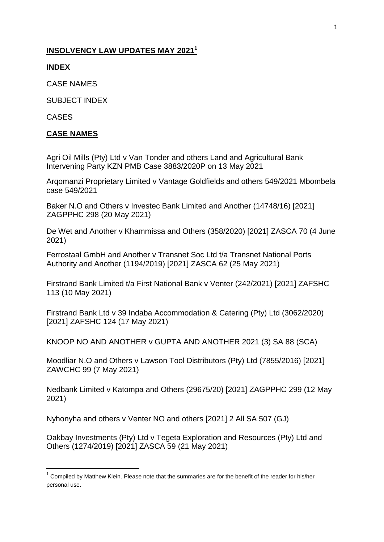#### **INSOLVENCY LAW UPDATES MAY 2021<sup>1</sup>**

#### **INDEX**

CASE NAMES

SUBJECT INDEX

CASES

1

#### **CASE NAMES**

Agri Oil Mills (Pty) Ltd v Van Tonder and others Land and Agricultural Bank Intervening Party KZN PMB Case 3883/2020P on 13 May 2021

Arqomanzi Proprietary Limited v Vantage Goldfields and others 549/2021 Mbombela case 549/2021

[Baker N.O and Others v Investec Bank Limited and Another \(14748/16\) \[2021\]](http://www.saflii.org/za/cases/ZAGPPHC/2021/298.html)  [ZAGPPHC 298 \(20 May 2021\)](http://www.saflii.org/za/cases/ZAGPPHC/2021/298.html)

De Wet and Another v Khammissa and Others (358/2020) [2021] ZASCA 70 (4 June 2021)

[Ferrostaal GmbH and Another v Transnet Soc Ltd t/a Transnet National Ports](http://www.saflii.org/za/cases/ZASCA/2021/62.html)  [Authority and Another \(1194/2019\) \[2021\] ZASCA 62 \(25 May 2021\)](http://www.saflii.org/za/cases/ZASCA/2021/62.html)

[Firstrand Bank Limited t/a First National Bank v Venter \(242/2021\) \[2021\] ZAFSHC](http://www.saflii.org/za/cases/ZAFSHC/2021/113.html)  [113 \(10 May 2021\)](http://www.saflii.org/za/cases/ZAFSHC/2021/113.html)

[Firstrand Bank Ltd v 39 Indaba Accommodation & Catering \(Pty\) Ltd \(3062/2020\)](http://www.saflii.org/za/cases/ZAFSHC/2021/124.html)  [\[2021\] ZAFSHC 124 \(17 May 2021\)](http://www.saflii.org/za/cases/ZAFSHC/2021/124.html)

KNOOP NO AND ANOTHER v GUPTA AND ANOTHER 2021 (3) SA 88 (SCA)

[Moodliar N.O and Others v Lawson Tool Distributors \(Pty\) Ltd \(7855/2016\) \[2021\]](http://www.saflii.org/za/cases/ZAWCHC/2021/99.html)  [ZAWCHC 99 \(7 May 2021\)](http://www.saflii.org/za/cases/ZAWCHC/2021/99.html)

[Nedbank Limited v Katompa and Others \(29675/20\) \[2021\] ZAGPPHC 299 \(12 May](http://www.saflii.org/za/cases/ZAGPPHC/2021/299.html)  [2021\)](http://www.saflii.org/za/cases/ZAGPPHC/2021/299.html)

Nyhonyha and others v Venter NO and others [2021] 2 All SA 507 (GJ)

[Oakbay Investments \(Pty\) Ltd v Tegeta Exploration and Resources \(Pty\) Ltd and](http://www.saflii.org/za/cases/ZASCA/2021/59.html)  [Others \(1274/2019\) \[2021\] ZASCA 59 \(21 May 2021\)](http://www.saflii.org/za/cases/ZASCA/2021/59.html)

 $1$  Compiled by Matthew Klein. Please note that the summaries are for the benefit of the reader for his/her personal use.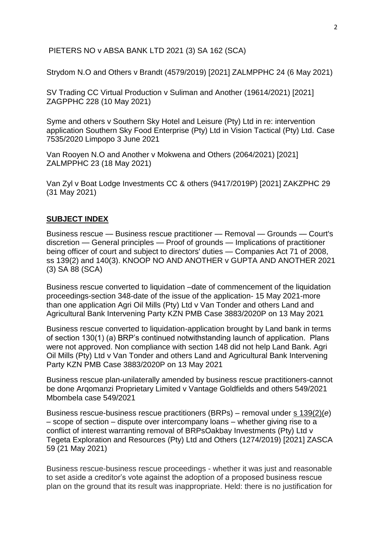PIETERS NO v ABSA BANK LTD 2021 (3) SA 162 (SCA)

[Strydom N.O and Others v Brandt \(4579/2019\) \[2021\] ZALMPPHC 24 \(6 May 2021\)](http://www.saflii.org/za/cases/ZALMPPHC/2021/24.html)

[SV Trading CC Virtual Production v Suliman and Another \(19614/2021\) \[2021\]](http://www.saflii.org/za/cases/ZAGPPHC/2021/228.html)  [ZAGPPHC 228 \(10 May 2021\)](http://www.saflii.org/za/cases/ZAGPPHC/2021/228.html)

Syme and others v Southern Sky Hotel and Leisure (Pty) Ltd in re: intervention application Southern Sky Food Enterprise (Pty) Ltd in Vision Tactical (Pty) Ltd. Case 7535/2020 Limpopo 3 June 2021

[Van Rooyen N.O and Another v Mokwena and Others \(2064/2021\) \[2021\]](http://www.saflii.org/za/cases/ZALMPPHC/2021/23.html)  [ZALMPPHC 23 \(18 May 2021\)](http://www.saflii.org/za/cases/ZALMPPHC/2021/23.html)

[Van Zyl v Boat Lodge Investments CC & others \(9417/2019P\) \[2021\] ZAKZPHC 29](http://www.saflii.org/za/cases/ZAKZPHC/2021/29.html)  [\(31 May 2021\)](http://www.saflii.org/za/cases/ZAKZPHC/2021/29.html)

#### **SUBJECT INDEX**

Business rescue — Business rescue practitioner — Removal — Grounds — Court's discretion — General principles — Proof of grounds — Implications of practitioner being officer of court and subject to directors' duties — Companies Act 71 of 2008, ss 139(2) and 140(3). KNOOP NO AND ANOTHER v GUPTA AND ANOTHER 2021 (3) SA 88 (SCA)

Business rescue converted to liquidation –date of commencement of the liquidation proceedings-section 348-date of the issue of the application- 15 May 2021-more than one application Agri Oil Mills (Pty) Ltd v Van Tonder and others Land and Agricultural Bank Intervening Party KZN PMB Case 3883/2020P on 13 May 2021

Business rescue converted to liquidation-application brought by Land bank in terms of section 130(1) (a) BRP's continued notwithstanding launch of application. Plans were not approved. Non compliance with section 148 did not help Land Bank. Agri Oil Mills (Pty) Ltd v Van Tonder and others Land and Agricultural Bank Intervening Party KZN PMB Case 3883/2020P on 13 May 2021

Business rescue plan-unilaterally amended by business rescue practitioners-cannot be done Arqomanzi Proprietary Limited v Vantage Goldfields and others 549/2021 Mbombela case 549/2021

Business rescue-business rescue practitioners (BRPs) – removal under [s 139\(2\)\(](http://www.saflii.org/za/legis/consol_act/ca2008107/index.html#s139)*e*) – scope of section – dispute over intercompany loans – whether giving rise to a conflict of interest warranting removal of BRP[sOakbay Investments \(Pty\) Ltd v](http://www.saflii.org/za/cases/ZASCA/2021/59.html)  [Tegeta Exploration and Resources \(Pty\) Ltd and Others \(1274/2019\) \[2021\] ZASCA](http://www.saflii.org/za/cases/ZASCA/2021/59.html)  [59 \(21 May 2021\)](http://www.saflii.org/za/cases/ZASCA/2021/59.html)

Business rescue-business rescue proceedings - whether it was just and reasonable to set aside a creditor's vote against the adoption of a proposed business rescue plan on the ground that its result was inappropriate. Held: there is no justification for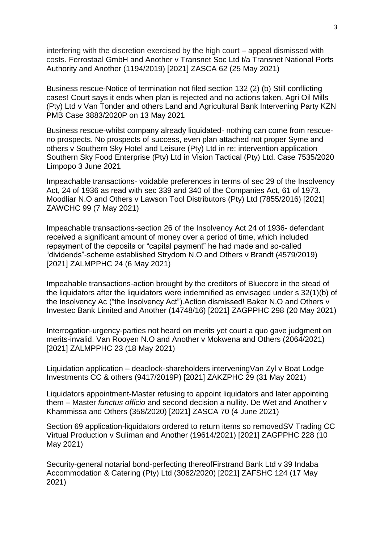interfering with the discretion exercised by the high court – appeal dismissed with costs. [Ferrostaal GmbH and Another v Transnet Soc Ltd t/a Transnet National Ports](http://www.saflii.org/za/cases/ZASCA/2021/62.html)  [Authority and Another \(1194/2019\) \[2021\] ZASCA 62 \(25 May 2021\)](http://www.saflii.org/za/cases/ZASCA/2021/62.html)

Business rescue-Notice of termination not filed section 132 (2) (b) Still conflicting cases! Court says it ends when plan is rejected and no actions taken. Agri Oil Mills (Pty) Ltd v Van Tonder and others Land and Agricultural Bank Intervening Party KZN PMB Case 3883/2020P on 13 May 2021

Business rescue-whilst company already liquidated- nothing can come from rescueno prospects. No prospects of success, even plan attached not proper Syme and others v Southern Sky Hotel and Leisure (Pty) Ltd in re: intervention application Southern Sky Food Enterprise (Pty) Ltd in Vision Tactical (Pty) Ltd. Case 7535/2020 Limpopo 3 June 2021

Impeachable transactions- voidable preferences in terms of [sec 29](http://www.saflii.org/za/legis/consol_act/ia1936149/index.html#s29) of the [Insolvency](http://www.saflii.org/za/legis/consol_act/ia1936149/)  [Act, 24 of 1936](http://www.saflii.org/za/legis/consol_act/ia1936149/) as read with sec 339 and 340 of the Companies Act, 61 of 1973. Moodliar N.O and Others v Lawson [Tool Distributors \(Pty\) Ltd \(7855/2016\) \[2021\]](http://www.saflii.org/za/cases/ZAWCHC/2021/99.html)  [ZAWCHC 99 \(7 May 2021\)](http://www.saflii.org/za/cases/ZAWCHC/2021/99.html)

Impeachable transactions[-section 26](http://www.saflii.org/za/legis/consol_act/ia1936149/index.html#s26) of the [Insolvency Act 24 of 1936-](http://www.saflii.org/za/legis/consol_act/ia1936149/) defendant received a significant amount of money over a period of time, which included repayment of the deposits or "capital payment" he had made and so-called "dividends"-scheme established Strydom N.O and Others v Brandt (4579/2019) [\[2021\] ZALMPPHC 24 \(6 May 2021\)](http://www.saflii.org/za/cases/ZALMPPHC/2021/24.html)

Impeahable transactions-action brought by the creditors of Bluecore in the stead of the liquidators after the liquidators were indemnified as envisaged under s 32(1)(b) of the Insolvency Ac ("the Insolvency Act"). Action dismissed! Baker N.O and Others v [Investec Bank Limited and Another \(14748/16\) \[2021\] ZAGPPHC 298 \(20 May 2021\)](http://www.saflii.org/za/cases/ZAGPPHC/2021/298.html)

Interrogation-urgency-parties not heard on merits yet court a quo gave judgment on merits-invalid. [Van Rooyen N.O and Another v Mokwena and Others \(2064/2021\)](http://www.saflii.org/za/cases/ZALMPPHC/2021/23.html)  [\[2021\] ZALMPPHC 23 \(18 May 2021\)](http://www.saflii.org/za/cases/ZALMPPHC/2021/23.html)

Liquidation application – deadlock-shareholders intervenin[gVan Zyl v Boat Lodge](http://www.saflii.org/za/cases/ZAKZPHC/2021/29.html)  [Investments CC & others \(9417/2019P\) \[2021\] ZAKZPHC 29 \(31 May 2021\)](http://www.saflii.org/za/cases/ZAKZPHC/2021/29.html)

Liquidators appointment-Master refusing to appoint liquidators and later appointing them – Master *functus officio* and second decision a nullity. De Wet and Another v Khammissa and Others (358/2020) [2021] ZASCA 70 (4 June 2021)

Section 69 application-liquidators ordered to return items so remove[dSV Trading CC](http://www.saflii.org/za/cases/ZAGPPHC/2021/228.html)  [Virtual Production v Suliman and Another \(19614/2021\) \[2021\] ZAGPPHC 228 \(10](http://www.saflii.org/za/cases/ZAGPPHC/2021/228.html)  [May 2021\)](http://www.saflii.org/za/cases/ZAGPPHC/2021/228.html)

Security-general notarial bond-perfecting thereo[fFirstrand Bank Ltd v 39 Indaba](http://www.saflii.org/za/cases/ZAFSHC/2021/124.html)  [Accommodation & Catering \(Pty\) Ltd \(3062/2020\) \[2021\] ZAFSHC 124 \(17 May](http://www.saflii.org/za/cases/ZAFSHC/2021/124.html)  [2021\)](http://www.saflii.org/za/cases/ZAFSHC/2021/124.html)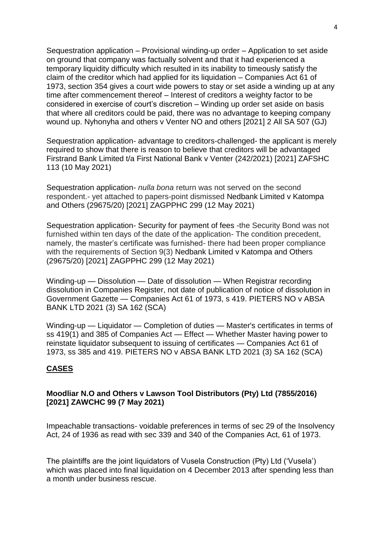Sequestration application – Provisional winding-up order – Application to set aside on ground that company was factually solvent and that it had experienced a temporary liquidity difficulty which resulted in its inability to timeously satisfy the claim of the creditor which had applied for its liquidation – Companies Act 61 of 1973, section 354 gives a court wide powers to stay or set aside a winding up at any time after commencement thereof – Interest of creditors a weighty factor to be considered in exercise of court's discretion – Winding up order set aside on basis that where all creditors could be paid, there was no advantage to keeping company wound up. Nyhonyha and others v Venter NO and others [2021] 2 All SA 507 (GJ)

Sequestration application- advantage to creditors-challenged- the applicant is merely required to show that there is reason to believe that creditors will be advantaged [Firstrand Bank Limited t/a First National Bank v Venter \(242/2021\) \[2021\] ZAFSHC](http://www.saflii.org/za/cases/ZAFSHC/2021/113.html) [113 \(10 May 2021\)](http://www.saflii.org/za/cases/ZAFSHC/2021/113.html)

Sequestration application- *nulla bona* return was not served on the second respondent.- yet attached to papers-point dismissed [Nedbank Limited v Katompa](http://www.saflii.org/za/cases/ZAGPPHC/2021/299.html)  [and Others \(29675/20\) \[2021\] ZAGPPHC 299 \(12 May 2021\)](http://www.saflii.org/za/cases/ZAGPPHC/2021/299.html)

Sequestration application- Security for payment of fees -the Security Bond was not furnished within ten days of the date of the application- The condition precedent, namely, the master's certificate was furnished- there had been proper compliance with the requirements of Section 9(3) [Nedbank Limited v Katompa and Others](http://www.saflii.org/za/cases/ZAGPPHC/2021/299.html)  [\(29675/20\) \[2021\] ZAGPPHC 299 \(12 May 2021\)](http://www.saflii.org/za/cases/ZAGPPHC/2021/299.html)

Winding-up — Dissolution — Date of dissolution — When Registrar recording dissolution in Companies Register, not date of publication of notice of dissolution in Government Gazette — Companies Act 61 of 1973, s 419. PIETERS NO v ABSA BANK LTD 2021 (3) SA 162 (SCA)

Winding-up — Liquidator — Completion of duties — Master's certificates in terms of ss 419(1) and 385 of Companies Act — Effect — Whether Master having power to reinstate liquidator subsequent to issuing of certificates — Companies Act 61 of 1973, ss 385 and 419. PIETERS NO v ABSA BANK LTD 2021 (3) SA 162 (SCA)

# **CASES**

### **[Moodliar N.O and Others v Lawson Tool Distributors \(Pty\) Ltd \(7855/2016\)](http://www.saflii.org/za/cases/ZAWCHC/2021/99.html)  [\[2021\] ZAWCHC 99 \(7 May 2021\)](http://www.saflii.org/za/cases/ZAWCHC/2021/99.html)**

Impeachable transactions- voidable preferences in terms of [sec 29](http://www.saflii.org/za/legis/consol_act/ia1936149/index.html#s29) of the [Insolvency](http://www.saflii.org/za/legis/consol_act/ia1936149/)  [Act, 24 of 1936](http://www.saflii.org/za/legis/consol_act/ia1936149/) as read with sec 339 and 340 of the Companies Act, 61 of 1973.

The plaintiffs are the joint liquidators of Vusela Construction (Pty) Ltd ('Vusela') which was placed into final liquidation on 4 December 2013 after spending less than a month under business rescue.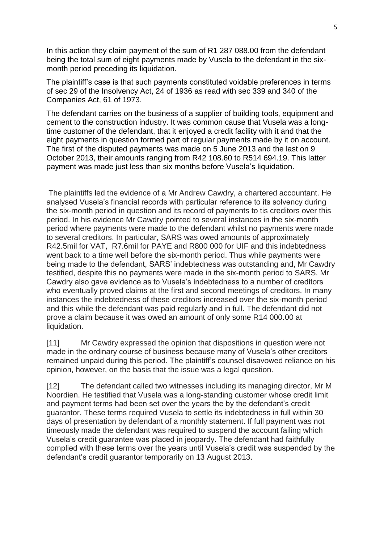In this action they claim payment of the sum of R1 287 088.00 from the defendant being the total sum of eight payments made by Vusela to the defendant in the sixmonth period preceding its liquidation.

The plaintiff's case is that such payments constituted voidable preferences in terms of [sec 29](http://www.saflii.org/za/legis/consol_act/ia1936149/index.html#s29) of the [Insolvency Act, 24 of 1936](http://www.saflii.org/za/legis/consol_act/ia1936149/) as read with sec 339 and 340 of the Companies Act, 61 of 1973.

The defendant carries on the business of a supplier of building tools, equipment and cement to the construction industry. It was common cause that Vusela was a longtime customer of the defendant, that it enjoyed a credit facility with it and that the eight payments in question formed part of regular payments made by it on account. The first of the disputed payments was made on 5 June 2013 and the last on 9 October 2013, their amounts ranging from R42 108.60 to R514 694.19. This latter payment was made just less than six months before Vusela's liquidation.

The plaintiffs led the evidence of a Mr Andrew Cawdry, a chartered accountant. He analysed Vusela's financial records with particular reference to its solvency during the six-month period in question and its record of payments to tis creditors over this period. In his evidence Mr Cawdry pointed to several instances in the six-month period where payments were made to the defendant whilst no payments were made to several creditors. In particular, SARS was owed amounts of approximately R42.5mil for VAT, R7.6mil for PAYE and R800 000 for UIF and this indebtedness went back to a time well before the six-month period. Thus while payments were being made to the defendant, SARS' indebtedness was outstanding and, Mr Cawdry testified, despite this no payments were made in the six-month period to SARS. Mr Cawdry also gave evidence as to Vusela's indebtedness to a number of creditors who eventually proved claims at the first and second meetings of creditors. In many instances the indebtedness of these creditors increased over the six-month period and this while the defendant was paid regularly and in full. The defendant did not prove a claim because it was owed an amount of only some R14 000.00 at liquidation.

[11] Mr Cawdry expressed the opinion that dispositions in question were not made in the ordinary course of business because many of Vusela's other creditors remained unpaid during this period. The plaintiff's counsel disavowed reliance on his opinion, however, on the basis that the issue was a legal question.

[12] The defendant called two witnesses including its managing director, Mr M Noordien. He testified that Vusela was a long-standing customer whose credit limit and payment terms had been set over the years the by the defendant's credit guarantor. These terms required Vusela to settle its indebtedness in full within 30 days of presentation by defendant of a monthly statement. If full payment was not timeously made the defendant was required to suspend the account failing which Vusela's credit guarantee was placed in jeopardy. The defendant had faithfully complied with these terms over the years until Vusela's credit was suspended by the defendant's credit guarantor temporarily on 13 August 2013.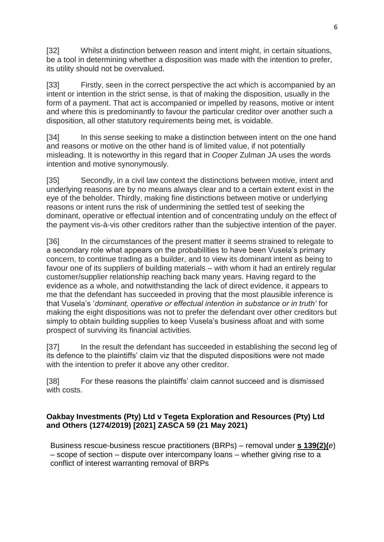[32] Whilst a distinction between reason and intent might, in certain situations, be a tool in determining whether a disposition was made with the intention to prefer, its utility should not be overvalued.

[33] Firstly, seen in the correct perspective the act which is accompanied by an intent or intention in the strict sense, is that of making the disposition, usually in the form of a payment. That act is accompanied or impelled by reasons, motive or intent and where this is predominantly to favour the particular creditor over another such a disposition, all other statutory requirements being met, is voidable.

[34] In this sense seeking to make a distinction between intent on the one hand and reasons or motive on the other hand is of limited value, if not potentially misleading. It is noteworthy in this regard that in *Cooper* Zulman JA uses the words intention and motive synonymously.

[35] Secondly, in a civil law context the distinctions between motive, intent and underlying reasons are by no means always clear and to a certain extent exist in the eye of the beholder. Thirdly, making fine distinctions between motive or underlying reasons or intent runs the risk of undermining the settled test of seeking the dominant, operative or effectual intention and of concentrating unduly on the effect of the payment vis-à-vis other creditors rather than the subjective intention of the payer.

[36] In the circumstances of the present matter it seems strained to relegate to a secondary role what appears on the probabilities to have been Vusela's primary concern, to continue trading as a builder, and to view its dominant intent as being to favour one of its suppliers of building materials – with whom it had an entirely regular customer/supplier relationship reaching back many years. Having regard to the evidence as a whole, and notwithstanding the lack of direct evidence, it appears to me that the defendant has succeeded in proving that the most plausible inference is that Vusela's ‗*dominant, operative or effectual intention in substance or in truth'* for making the eight dispositions was not to prefer the defendant over other creditors but simply to obtain building supplies to keep Vusela's business afloat and with some prospect of surviving its financial activities.

[37] In the result the defendant has succeeded in establishing the second leg of its defence to the plaintiffs' claim viz that the disputed dispositions were not made with the intention to prefer it above any other creditor.

[38] For these reasons the plaintiffs' claim cannot succeed and is dismissed with costs.

# **[Oakbay Investments \(Pty\) Ltd v Tegeta Exploration and Resources \(Pty\) Ltd](http://www.saflii.org/za/cases/ZASCA/2021/59.html)  [and Others \(1274/2019\) \[2021\] ZASCA 59 \(21 May 2021\)](http://www.saflii.org/za/cases/ZASCA/2021/59.html)**

Business rescue-business rescue practitioners (BRPs) – removal under **[s 139\(2\)\(](http://www.saflii.org/za/legis/consol_act/ca2008107/index.html#s139)***e*)  $-$  scope of section  $-$  dispute over intercompany loans  $-$  whether giving rise to a conflict of interest warranting removal of BRPs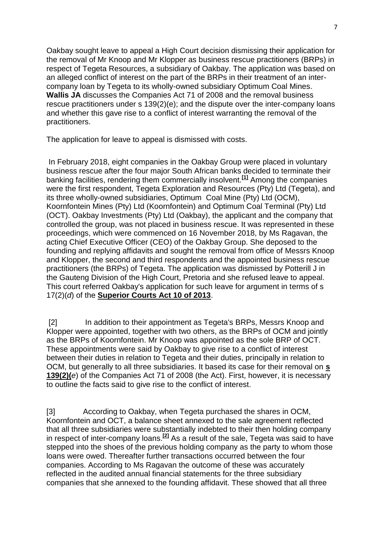Oakbay sought leave to appeal a High Court decision dismissing their application for the removal of Mr Knoop and Mr Klopper as business rescue practitioners (BRPs) in respect of Tegeta Resources, a subsidiary of Oakbay. The application was based on an alleged conflict of interest on the part of the BRPs in their treatment of an intercompany loan by Tegeta to its wholly-owned subsidiary Optimum Coal Mines. **Wallis JA** discusses the Companies Act 71 of 2008 and the removal business rescue practitioners under s 139(2)(e); and the dispute over the inter-company loans and whether this gave rise to a conflict of interest warranting the removal of the practitioners.

The application for leave to appeal is dismissed with costs.

In February 2018, eight companies in the Oakbay Group were placed in voluntary business rescue after the four major South African banks decided to terminate their banking facilities, rendering them commercially insolvent.**[\[1\]](http://www.saflii.org/za/cases/ZASCA/2021/59.html#_ftn1)** Among the companies were the first respondent, Tegeta Exploration and Resources (Pty) Ltd (Tegeta), and its three wholly-owned subsidiaries, Optimum Coal Mine (Pty) Ltd (OCM), Koornfontein Mines (Pty) Ltd (Koornfontein) and Optimum Coal Terminal (Pty) Ltd (OCT). Oakbay Investments (Pty) Ltd (Oakbay), the applicant and the company that controlled the group, was not placed in business rescue. It was represented in these proceedings, which were commenced on 16 November 2018, by Ms Ragavan, the acting Chief Executive Officer (CEO) of the Oakbay Group. She deposed to the founding and replying affidavits and sought the removal from office of Messrs Knoop and Klopper, the second and third respondents and the appointed business rescue practitioners (the BRPs) of Tegeta. The application was dismissed by Potterill J in the Gauteng Division of the High Court, Pretoria and she refused leave to appeal. This court referred Oakbay's application for such leave for argument in terms of s 17(2)(*d*) of the **[Superior Courts Act 10 of 2013](http://www.saflii.org/za/legis/num_act/sca2013224/)**.

[2] In addition to their appointment as Tegeta's BRPs, Messrs Knoop and Klopper were appointed, together with two others, as the BRPs of OCM and jointly as the BRPs of Koornfontein. Mr Knoop was appointed as the sole BRP of OCT. These appointments were said by Oakbay to give rise to a conflict of interest between their duties in relation to Tegeta and their duties, principally in relation to OCM, but generally to all three subsidiaries. It based its case for their removal on **[s](http://www.saflii.org/za/legis/num_act/sca2013224/index.html#s139)  [139\(2\)\(](http://www.saflii.org/za/legis/num_act/sca2013224/index.html#s139)***e*) of the Companies Act 71 of 2008 (the Act). First, however, it is necessary to outline the facts said to give rise to the conflict of interest.

[3] According to Oakbay, when Tegeta purchased the shares in OCM, Koornfontein and OCT, a balance sheet annexed to the sale agreement reflected that all three subsidiaries were substantially indebted to their then holding company in respect of inter-company loans.**[\[2\]](http://www.saflii.org/za/cases/ZASCA/2021/59.html#_ftn2)** As a result of the sale, Tegeta was said to have stepped into the shoes of the previous holding company as the party to whom those loans were owed. Thereafter further transactions occurred between the four companies. According to Ms Ragavan the outcome of these was accurately reflected in the audited annual financial statements for the three subsidiary companies that she annexed to the founding affidavit. These showed that all three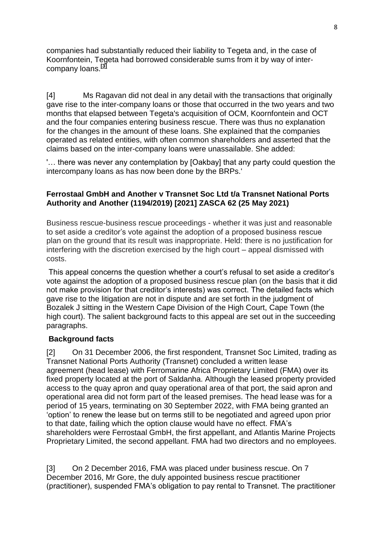companies had substantially reduced their liability to Tegeta and, in the case of Koornfontein, Tegeta had borrowed considerable sums from it by way of intercompany loans.**[\[3\]](http://www.saflii.org/za/cases/ZASCA/2021/59.html#_ftn3)**

[4] Ms Ragavan did not deal in any detail with the transactions that originally gave rise to the inter-company loans or those that occurred in the two years and two months that elapsed between Tegeta's acquisition of OCM, Koornfontein and OCT and the four companies entering business rescue. There was thus no explanation for the changes in the amount of these loans. She explained that the companies operated as related entities, with often common shareholders and asserted that the claims based on the inter-company loans were unassailable. She added:

'… there was never any contemplation by [Oakbay] that any party could question the intercompany loans as has now been done by the BRPs.'

### **[Ferrostaal GmbH and Another v Transnet Soc Ltd t/a Transnet National Ports](http://www.saflii.org/za/cases/ZASCA/2021/62.html)  [Authority and Another \(1194/2019\) \[2021\] ZASCA 62 \(25 May 2021\)](http://www.saflii.org/za/cases/ZASCA/2021/62.html)**

Business rescue-business rescue proceedings - whether it was just and reasonable to set aside a creditor's vote against the adoption of a proposed business rescue plan on the ground that its result was inappropriate. Held: there is no justification for interfering with the discretion exercised by the high court – appeal dismissed with costs.

This appeal concerns the question whether a court's refusal to set aside a creditor's vote against the adoption of a proposed business rescue plan (on the basis that it did not make provision for that creditor's interests) was correct. The detailed facts which gave rise to the litigation are not in dispute and are set forth in the judgment of Bozalek J sitting in the Western Cape Division of the High Court, Cape Town (the high court). The salient background facts to this appeal are set out in the succeeding paragraphs.

# **Background facts**

[2] On 31 December 2006, the first respondent, Transnet Soc Limited, trading as Transnet National Ports Authority (Transnet) concluded a written lease agreement (head lease) with Ferromarine Africa Proprietary Limited (FMA) over its fixed property located at the port of Saldanha. Although the leased property provided access to the quay apron and quay operational area of that port, the said apron and operational area did not form part of the leased premises. The head lease was for a period of 15 years, terminating on 30 September 2022, with FMA being granted an ‗option' to renew the lease but on terms still to be negotiated and agreed upon prior to that date, failing which the option clause would have no effect. FMA's shareholders were Ferrostaal GmbH, the first appellant, and Atlantis Marine Projects Proprietary Limited, the second appellant. FMA had two directors and no employees.

[3] On 2 December 2016, FMA was placed under business rescue. On 7 December 2016, Mr Gore, the duly appointed business rescue practitioner (practitioner), suspended FMA's obligation to pay rental to Transnet. The practitioner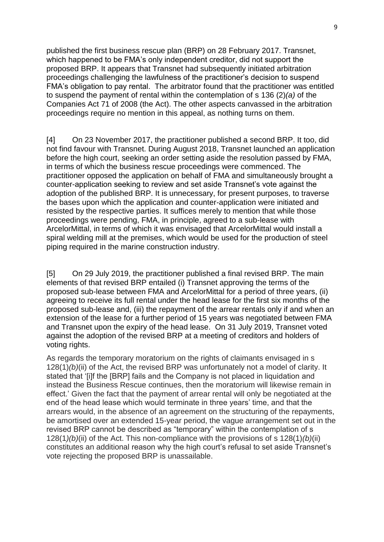published the first business rescue plan (BRP) on 28 February 2017. Transnet, which happened to be FMA's only independent creditor, did not support the proposed BRP. It appears that Transnet had subsequently initiated arbitration proceedings challenging the lawfulness of the practitioner's decision to suspend FMA's obligation to pay rental. The arbitrator found that the practitioner was entitled to suspend the payment of rental within the contemplation of s 136 (2)*(a)* of the Companies Act 71 of 2008 (the Act). The other aspects canvassed in the arbitration proceedings require no mention in this appeal, as nothing turns on them.

[4] On 23 November 2017, the practitioner published a second BRP. It too, did not find favour with Transnet. During August 2018, Transnet launched an application before the high court, seeking an order setting aside the resolution passed by FMA, in terms of which the business rescue proceedings were commenced. The practitioner opposed the application on behalf of FMA and simultaneously brought a counter-application seeking to review and set aside Transnet's vote against the adoption of the published BRP. It is unnecessary, for present purposes, to traverse the bases upon which the application and counter-application were initiated and resisted by the respective parties. It suffices merely to mention that while those proceedings were pending, FMA, in principle, agreed to a sub-lease with ArcelorMittal, in terms of which it was envisaged that ArcelorMittal would install a spiral welding mill at the premises, which would be used for the production of steel piping required in the marine construction industry.

[5] On 29 July 2019, the practitioner published a final revised BRP. The main elements of that revised BRP entailed (i) Transnet approving the terms of the proposed sub-lease between FMA and ArcelorMittal for a period of three years, (ii) agreeing to receive its full rental under the head lease for the first six months of the proposed sub-lease and, (iii) the repayment of the arrear rentals only if and when an extension of the lease for a further period of 15 years was negotiated between FMA and Transnet upon the expiry of the head lease. On 31 July 2019, Transnet voted against the adoption of the revised BRP at a meeting of creditors and holders of voting rights.

As regards the temporary moratorium on the rights of claimants envisaged in s 128(1)*(b)*(ii) of the Act, the revised BRP was unfortunately not a model of clarity. It stated that '[i]f the [BRP] fails and the Company is not placed in liquidation and instead the Business Rescue continues, then the moratorium will likewise remain in effect.' Given the fact that the payment of arrear rental will only be negotiated at the end of the head lease which would terminate in three years' time, and that the arrears would, in the absence of an agreement on the structuring of the repayments, be amortised over an extended 15-year period, the vague arrangement set out in the revised BRP cannot be described as "temporary" within the contemplation of s 128(1*)(b)*(ii) of the Act. This non-compliance with the provisions of s 128(1)*(b)*(ii) constitutes an additional reason why the high court's refusal to set aside Transnet's vote rejecting the proposed BRP is unassailable.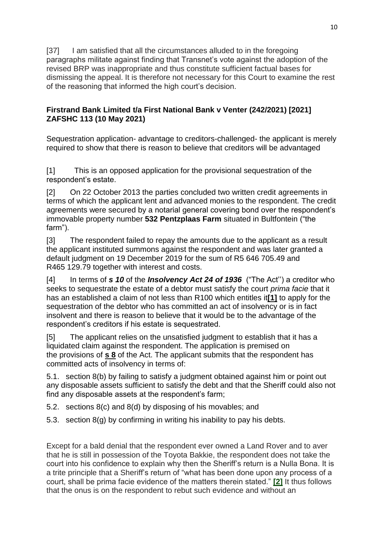[37] I am satisfied that all the circumstances alluded to in the foregoing paragraphs militate against finding that Transnet's vote against the adoption of the revised BRP was inappropriate and thus constitute sufficient factual bases for dismissing the appeal. It is therefore not necessary for this Court to examine the rest of the reasoning that informed the high court's decision.

# **[Firstrand Bank Limited t/a First National Bank v Venter \(242/2021\) \[2021\]](http://www.saflii.org/za/cases/ZAFSHC/2021/113.html)  [ZAFSHC 113 \(10 May 2021\)](http://www.saflii.org/za/cases/ZAFSHC/2021/113.html)**

Sequestration application- advantage to creditors-challenged- the applicant is merely required to show that there is reason to believe that creditors will be advantaged

[1] This is an opposed application for the provisional sequestration of the respondent's estate.

[2] On 22 October 2013 the parties concluded two written credit agreements in terms of which the applicant lent and advanced monies to the respondent. The credit agreements were secured by a notarial general covering bond over the respondent's immovable property number **532 Pentzplaas Farm** situated in Bultfontein ("the farm").

[3] The respondent failed to repay the amounts due to the applicant as a result the applicant instituted summons against the respondent and was later granted a default judgment on 19 December 2019 for the sum of R5 646 705.49 and R465 129.79 together with interest and costs.

[4] In terms of **s** 10 of the *Insolvency Act* 24 of 1936 ("The Act") a creditor who seeks to sequestrate the estate of a debtor must satisfy the court *prima facie* that it has an established a claim of not less than R100 which entitles it**[\[1\]](http://www.saflii.org/za/cases/ZAFSHC/2021/113.html#_ftn1)** to apply for the sequestration of the debtor who has committed an act of insolvency or is in fact insolvent and there is reason to believe that it would be to the advantage of the respondent's creditors if his estate is sequestrated.

[5] The applicant relies on the unsatisfied judgment to establish that it has a liquidated claim against the respondent. The application is premised on the provisions of **s 8** of the Act. The applicant submits that the respondent has committed acts of insolvency in terms of:

5.1. section 8(b) by failing to satisfy a judgment obtained against him or point out any disposable assets sufficient to satisfy the debt and that the Sheriff could also not find any disposable assets at the respondent's farm;

5.2. sections 8(c) and 8(d) by disposing of his movables; and

5.3. section 8(g) by confirming in writing his inability to pay his debts.

Except for a bald denial that the respondent ever owned a Land Rover and to aver that he is still in possession of the Toyota Bakkie, the respondent does not take the court into his confidence to explain why then the Sheriff's return is a Nulla Bona. It is a trite principle that a Sheriff's return of "what has been done upon any process of a court, shall be prima facie evidence of the matters therein stated.‖ **[\[2\]](http://www.saflii.org/za/cases/ZAFSHC/2021/113.html#_ftn2)** It thus follows that the onus is on the respondent to rebut such evidence and without an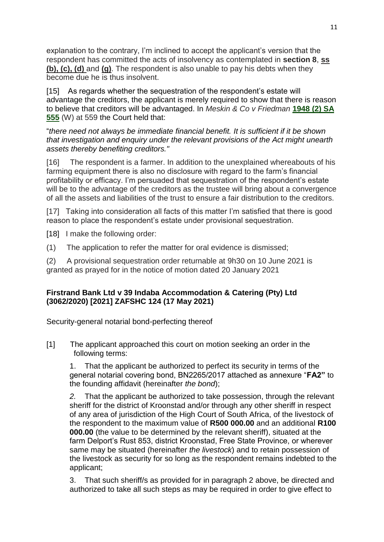explanation to the contrary, I'm inclined to accept the applicant's version that the respondent has committed the acts of insolvency as contemplated in **section 8**, **ss (b), (c), (d)** and **(g)**. The respondent is also unable to pay his debts when they become due he is thus insolvent.

[15] As regards whether the sequestration of the respondent's estate will advantage the creditors, the applicant is merely required to show that there is reason to believe that creditors will be advantaged. In *Meskin & Co v Friedman* **[1948 \(2\) SA](http://www.saflii.org/cgi-bin/LawCite?cit=1948%20%282%29%20SA%20555)  [555](http://www.saflii.org/cgi-bin/LawCite?cit=1948%20%282%29%20SA%20555)** (W) at 559 the Court held that:

―*there need not always be immediate financial benefit. It is sufficient if it be shown that investigation and enquiry under the relevant provisions of the Act might unearth assets thereby benefiting creditors."*

[16] The respondent is a farmer. In addition to the unexplained whereabouts of his farming equipment there is also no disclosure with regard to the farm's financial profitability or efficacy. I'm persuaded that sequestration of the respondent's estate will be to the advantage of the creditors as the trustee will bring about a convergence of all the assets and liabilities of the trust to ensure a fair distribution to the creditors.

[17] Taking into consideration all facts of this matter I'm satisfied that there is good reason to place the respondent's estate under provisional sequestration.

[18] I make the following order:

(1) The application to refer the matter for oral evidence is dismissed;

(2) A provisional sequestration order returnable at 9h30 on 10 June 2021 is granted as prayed for in the notice of motion dated 20 January 2021

### **[Firstrand Bank Ltd v 39 Indaba Accommodation & Catering \(Pty\) Ltd](http://www.saflii.org/za/cases/ZAFSHC/2021/124.html)  [\(3062/2020\) \[2021\] ZAFSHC 124 \(17 May 2021\)](http://www.saflii.org/za/cases/ZAFSHC/2021/124.html)**

Security-general notarial bond-perfecting thereof

[1] The applicant approached this court on motion seeking an order in the following terms:

1. That the applicant be authorized to perfect its security in terms of the general notarial covering bond, BN2265/2017 attached as annexure "**FA2**" to the founding affidavit (hereinafter *the bond*);

*2.* That the applicant be authorized to take possession, through the relevant sheriff for the district of Kroonstad and/or through any other sheriff in respect of any area of jurisdiction of the High Court of South Africa, of the livestock of the respondent to the maximum value of **R500 000.00** and an additional **R100 000.00** (the value to be determined by the relevant sheriff), situated at the farm Delport's Rust 853, district Kroonstad, Free State Province, or wherever same may be situated (hereinafter *the livestock*) and to retain possession of the livestock as security for so long as the respondent remains indebted to the applicant;

3. That such sheriff/s as provided for in paragraph 2 above, be directed and authorized to take all such steps as may be required in order to give effect to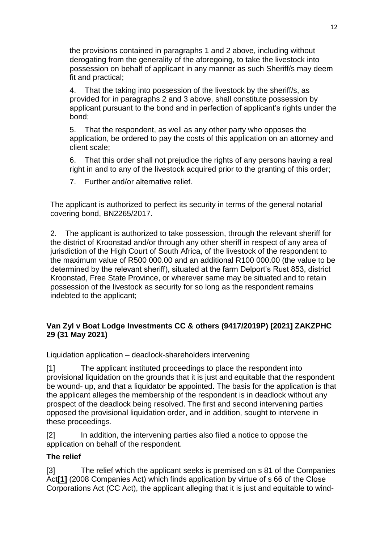the provisions contained in paragraphs 1 and 2 above, including without derogating from the generality of the aforegoing, to take the livestock into possession on behalf of applicant in any manner as such Sheriff/s may deem fit and practical;

4. That the taking into possession of the livestock by the sheriff/s, as provided for in paragraphs 2 and 3 above, shall constitute possession by applicant pursuant to the bond and in perfection of applicant's rights under the bond;

5. That the respondent, as well as any other party who opposes the application, be ordered to pay the costs of this application on an attorney and client scale;

6. That this order shall not prejudice the rights of any persons having a real right in and to any of the livestock acquired prior to the granting of this order;

7. Further and/or alternative relief.

The applicant is authorized to perfect its security in terms of the general notarial covering bond, BN2265/2017.

2. The applicant is authorized to take possession, through the relevant sheriff for the district of Kroonstad and/or through any other sheriff in respect of any area of jurisdiction of the High Court of South Africa, of the livestock of the respondent to the maximum value of R500 000.00 and an additional R100 000.00 (the value to be determined by the relevant sheriff), situated at the farm Delport's Rust 853, district Kroonstad, Free State Province, or wherever same may be situated and to retain possession of the livestock as security for so long as the respondent remains indebted to the applicant;

# **[Van Zyl v Boat Lodge Investments CC & others \(9417/2019P\) \[2021\] ZAKZPHC](http://www.saflii.org/za/cases/ZAKZPHC/2021/29.html)  [29 \(31 May 2021\)](http://www.saflii.org/za/cases/ZAKZPHC/2021/29.html)**

Liquidation application – deadlock-shareholders intervening

[1] The applicant instituted proceedings to place the respondent into provisional liquidation on the grounds that it is just and equitable that the respondent be wound- up, and that a liquidator be appointed. The basis for the application is that the applicant alleges the membership of the respondent is in deadlock without any prospect of the deadlock being resolved. The first and second intervening parties opposed the provisional liquidation order, and in addition, sought to intervene in these proceedings.

[2] In addition, the intervening parties also filed a notice to oppose the application on behalf of the respondent.

# **The relief**

[3] The relief which the applicant seeks is premised on s 81 of the Companies Act**[\[1\]](http://www.saflii.org/za/cases/ZAKZPHC/2021/29.html#_ftn1)** (2008 Companies Act) which finds application by virtue of s 66 of the Close Corporations Act (CC Act), the applicant alleging that it is just and equitable to wind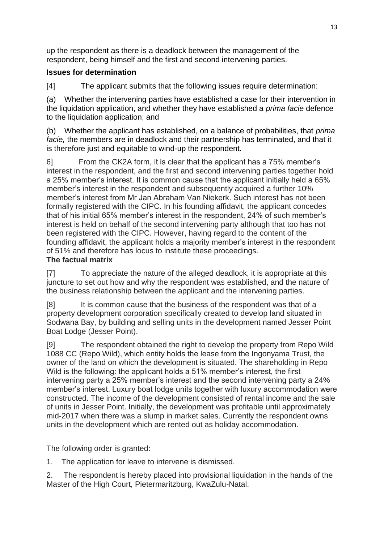up the respondent as there is a deadlock between the management of the respondent, being himself and the first and second intervening parties.

# **Issues for determination**

[4] The applicant submits that the following issues require determination:

(a) Whether the intervening parties have established a case for their intervention in the liquidation application, and whether they have established a *prima facie* defence to the liquidation application; and

(b) Whether the applicant has established, on a balance of probabilities, that *prima facie,* the members are in deadlock and their partnership has terminated, and that it is therefore just and equitable to wind-up the respondent.

6] From the CK2A form, it is clear that the applicant has a 75% member's interest in the respondent, and the first and second intervening parties together hold a 25% member's interest. It is common cause that the applicant initially held a 65% member's interest in the respondent and subsequently acquired a further 10% member's interest from Mr Jan Abraham Van Niekerk. Such interest has not been formally registered with the CIPC. In his founding affidavit, the applicant concedes that of his initial 65% member's interest in the respondent, 24% of such member's interest is held on behalf of the second intervening party although that too has not been registered with the CIPC. However, having regard to the content of the founding affidavit, the applicant holds a majority member's interest in the respondent of 51% and therefore has locus to institute these proceedings.

# **The factual matrix**

[7] To appreciate the nature of the alleged deadlock, it is appropriate at this juncture to set out how and why the respondent was established, and the nature of the business relationship between the applicant and the intervening parties.

[8] It is common cause that the business of the respondent was that of a property development corporation specifically created to develop land situated in Sodwana Bay, by building and selling units in the development named Jesser Point Boat Lodge (Jesser Point).

[9] The respondent obtained the right to develop the property from Repo Wild 1088 CC (Repo Wild), which entity holds the lease from the Ingonyama Trust, the owner of the land on which the development is situated. The shareholding in Repo Wild is the following: the applicant holds a 51% member's interest, the first intervening party a 25% member's interest and the second intervening party a 24% member's interest. Luxury boat lodge units together with luxury accommodation were constructed. The income of the development consisted of rental income and the sale of units in Jesser Point. Initially, the development was profitable until approximately mid-2017 when there was a slump in market sales. Currently the respondent owns units in the development which are rented out as holiday accommodation.

The following order is granted:

1. The application for leave to intervene is dismissed.

2. The respondent is hereby placed into provisional liquidation in the hands of the Master of the High Court, Pietermaritzburg, KwaZulu-Natal.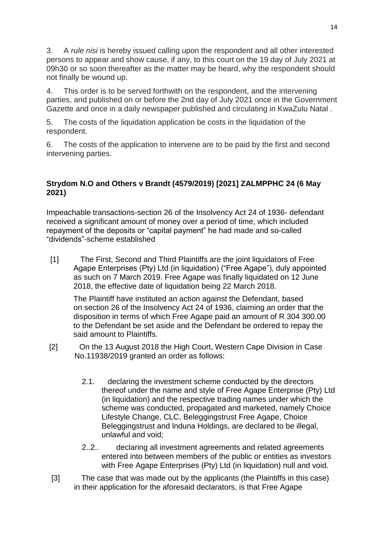3. A *rule nisi* is hereby issued calling upon the respondent and all other interested persons to appear and show cause, if any, to this court on the 19 day of July 2021 at 09h30 or so soon thereafter as the matter may be heard, why the respondent should not finally be wound up.

4. This order is to be served forthwith on the respondent, and the intervening parties, and published on or before the 2nd day of July 2021 once in the Government Gazette and once in a daily newspaper published and circulating in KwaZulu Natal .

5. The costs of the liquidation application be costs in the liquidation of the respondent.

6. The costs of the application to intervene are to be paid by the first and second intervening parties.

## **[Strydom N.O and Others v Brandt \(4579/2019\) \[2021\] ZALMPPHC 24 \(6 May](http://www.saflii.org/za/cases/ZALMPPHC/2021/24.html)  [2021\)](http://www.saflii.org/za/cases/ZALMPPHC/2021/24.html)**

Impeachable transactions[-section 26](http://www.saflii.org/za/legis/consol_act/ia1936149/index.html#s26) of the [Insolvency Act 24 of 1936-](http://www.saflii.org/za/legis/consol_act/ia1936149/) defendant received a significant amount of money over a period of time, which included repayment of the deposits or "capital payment" he had made and so-called ―dividends‖-scheme established

[1] The First, Second and Third Plaintiffs are the joint liquidators of Free Agape Enterprises (Pty) Ltd (in liquidation) ("Free Agape"), duly appointed as such on 7 March 2019. Free Agape was finally liquidated on 12 June 2018, the effective date of liquidation being 22 March 2018.

The Plaintiff have instituted an action against the Defendant, based on [section 26](http://www.saflii.org/za/legis/consol_act/ia1936149/index.html#s26) of the [Insolvency Act 24 of 1936,](http://www.saflii.org/za/legis/consol_act/ia1936149/) claiming an order that the disposition in terms of which Free Agape paid an amount of R 304 300.00 to the Defendant be set aside and the Defendant be ordered to repay the said amount to Plaintiffs.

- [2] On the 13 August 2018 the High Court, Western Cape Division in Case No.11938/2019 granted an order as follows:
	- 2.1. declaring the investment scheme conducted by the directors thereof under the name and style of Free Agape Enterprise (Pty) Ltd (in liquidation) and the respective trading names under which the scheme was conducted, propagated and marketed, namely Choice Lifestyle Change, CLC, Beleggingstrust Free Agape, Choice Beleggingstrust and lnduna Holdings, are declared to be illegal, unlawful and void;
	- 2..2.. declaring all investment agreements and related agreements entered into between members of the public or entities as investors with Free Agape Enterprises (Pty) Ltd (in liquidation) null and void.
- [3] The case that was made out by the applicants (the Plaintiffs in this case) in their application for the aforesaid declarators, is that Free Agape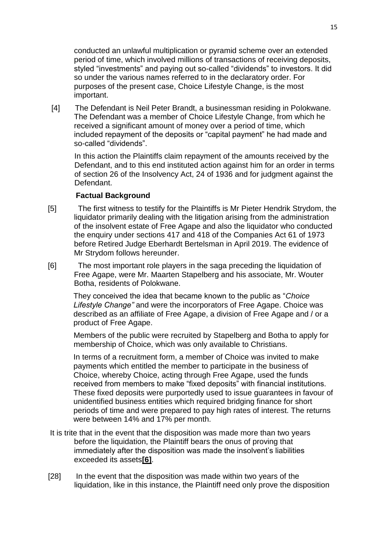conducted an unlawful multiplication or pyramid scheme over an extended period of time, which involved millions of transactions of receiving deposits, styled "investments" and paying out so-called "dividends" to investors. It did so under the various names referred to in the declaratory order. For purposes of the present case, Choice Lifestyle Change, is the most important.

[4] The Defendant is Neil Peter Brandt, a businessman residing in Polokwane. The Defendant was a member of Choice Lifestyle Change, from which he received a significant amount of money over a period of time, which included repayment of the deposits or "capital payment" he had made and so-called "dividends".

In this action the Plaintiffs claim repayment of the amounts received by the Defendant, and to this end instituted action against him for an order in terms of [section 26](http://www.saflii.org/za/legis/consol_act/ia1936149/index.html#s26) of the [Insolvency Act, 24 of 1936](http://www.saflii.org/za/legis/consol_act/ia1936149/) and for judgment against the Defendant.

#### **Factual Background**

- [5] The first witness to testify for the Plaintiffs is Mr Pieter Hendrik Strydom, the liquidator primarily dealing with the litigation arising from the administration of the insolvent estate of Free Agape and also the liquidator who conducted the enquiry under sections 417 and 418 of the Companies Act 61 of 1973 before Retired Judge Eberhardt Bertelsman in April 2019. The evidence of Mr Strydom follows hereunder.
- [6] The most important role players in the saga preceding the liquidation of Free Agape, were Mr. Maarten Stapelberg and his associate, Mr. Wouter Botha, residents of Polokwane.

They conceived the idea that became known to the public as ―*Choice Lifestyle Change"* and were the incorporators of Free Agape. Choice was described as an affiliate of Free Agape, a division of Free Agape and / or a product of Free Agape.

Members of the public were recruited by Stapelberg and Botha to apply for membership of Choice, which was only available to Christians.

In terms of a recruitment form, a member of Choice was invited to make payments which entitled the member to participate in the business of Choice, whereby Choice, acting through Free Agape, used the funds received from members to make "fixed deposits" with financial institutions. These fixed deposits were purportedly used to issue guarantees in favour of unidentified business entities which required bridging finance for short periods of time and were prepared to pay high rates of interest. The returns were between 14% and 17% per month.

- It is trite that in the event that the disposition was made more than two years before the liquidation, the Plaintiff bears the onus of proving that immediately after the disposition was made the insolvent's liabilities exceeded its assets**[\[6\]](http://www.saflii.org/za/cases/ZALMPPHC/2021/24.html#_ftn6)**.
- [28] In the event that the disposition was made within two years of the liquidation, like in this instance, the Plaintiff need only prove the disposition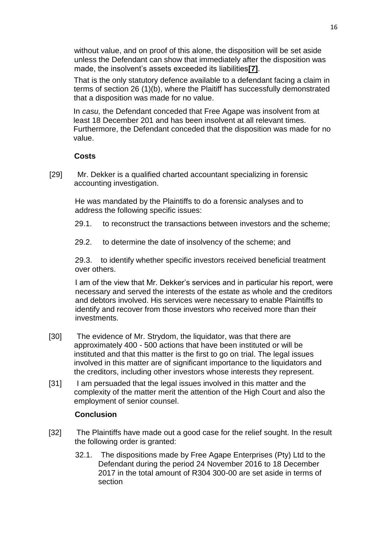without value, and on proof of this alone, the disposition will be set aside unless the Defendant can show that immediately after the disposition was made, the insolvent's assets exceeded its liabilities**[\[7\]](http://www.saflii.org/za/cases/ZALMPPHC/2021/24.html#_ftn7)**.

That is the only statutory defence available to a defendant facing a claim in terms of section 26 (1)(b), where the Plaitiff has successfully demonstrated that a disposition was made for no value.

In *casu,* the Defendant conceded that Free Agape was insolvent from at least 18 December 201 and has been insolvent at all relevant times. Furthermore, the Defendant conceded that the disposition was made for no value.

#### **Costs**

[29] Mr. Dekker is a qualified charted accountant specializing in forensic accounting investigation.

He was mandated by the Plaintiffs to do a forensic analyses and to address the following specific issues:

- 29.1. to reconstruct the transactions between investors and the scheme;
- 29.2. to determine the date of insolvency of the scheme; and

29.3. to identify whether specific investors received beneficial treatment over others.

I am of the view that Mr. Dekker's services and in particular his report, were necessary and served the interests of the estate as whole and the creditors and debtors involved. His services were necessary to enable Plaintiffs to identify and recover from those investors who received more than their investments.

- [30] The evidence of Mr. Strydom, the liquidator, was that there are approximately 400 - 500 actions that have been instituted or will be instituted and that this matter is the first to go on trial. The legal issues involved in this matter are of significant importance to the liquidators and the creditors, including other investors whose interests they represent.
- [31] I am persuaded that the legal issues involved in this matter and the complexity of the matter merit the attention of the High Court and also the employment of senior counsel.

#### **Conclusion**

- [32] The Plaintiffs have made out a good case for the relief sought. In the result the following order is granted:
	- 32.1. The dispositions made by Free Agape Enterprises (Pty) Ltd to the Defendant during the period 24 November 2016 to 18 December 2017 in the total amount of R304 300-00 are set aside in terms of section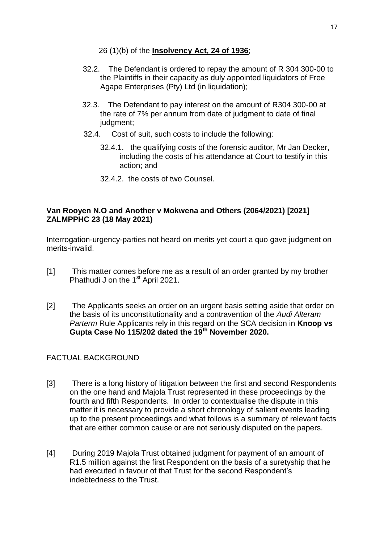### 26 (1)(b) of the **[Insolvency Act, 24 of 1936](http://www.saflii.org/za/legis/consol_act/ia1936149/)**;

- 32.2. The Defendant is ordered to repay the amount of R 304 300-00 to the Plaintiffs in their capacity as duly appointed liquidators of Free Agape Enterprises (Pty) Ltd (in liquidation);
- 32.3. The Defendant to pay interest on the amount of R304 300-00 at the rate of 7% per annum from date of judgment to date of final judgment;
- 32.4. Cost of suit, such costs to include the following:
	- 32.4.1. the qualifying costs of the forensic auditor, Mr Jan Decker, including the costs of his attendance at Court to testify in this action; and
	- 32.4.2. the costs of two Counsel.

## **[Van Rooyen N.O and Another v Mokwena and Others \(2064/2021\) \[2021\]](http://www.saflii.org/za/cases/ZALMPPHC/2021/23.html)  [ZALMPPHC 23 \(18 May 2021\)](http://www.saflii.org/za/cases/ZALMPPHC/2021/23.html)**

Interrogation-urgency-parties not heard on merits yet court a quo gave judgment on merits-invalid.

- [1] This matter comes before me as a result of an order granted by my brother Phathudi J on the 1<sup>st</sup> April 2021.
- [2] The Applicants seeks an order on an urgent basis setting aside that order on the basis of its unconstitutionality and a contravention of the *Audi Alteram Parterm* Rule Applicants rely in this regard on the SCA decision in **Knoop vs Gupta Case No 115/202 dated the 19th November 2020.**

# FACTUAL BACKGROUND

- [3] There is a long history of litigation between the first and second Respondents on the one hand and Majola Trust represented in these proceedings by the fourth and fifth Respondents. In order to contextualise the dispute in this matter it is necessary to provide a short chronology of salient events leading up to the present proceedings and what follows is a summary of relevant facts that are either common cause or are not seriously disputed on the papers.
- [4] During 2019 Majola Trust obtained judgment for payment of an amount of R1.5 million against the first Respondent on the basis of a suretyship that he had executed in favour of that Trust for the second Respondent's indebtedness to the Trust.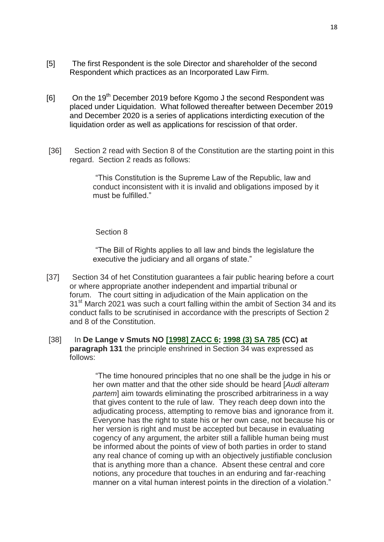- [5] The first Respondent is the sole Director and shareholder of the second Respondent which practices as an Incorporated Law Firm.
- $[6]$  On the 19<sup>th</sup> December 2019 before Kgomo J the second Respondent was placed under Liquidation. What followed thereafter between December 2019 and December 2020 is a series of applications interdicting execution of the liquidation order as well as applications for rescission of that order.
- [36] Section 2 read with Section 8 of the Constitution are the starting point in this regard. Section 2 reads as follows:

 ―This Constitution is the Supreme Law of the Republic, law and conduct inconsistent with it is invalid and obligations imposed by it must be fulfilled."

Section 8

 ―The Bill of Rights applies to all law and binds the legislature the executive the judiciary and all organs of state."

- [37] Section 34 of het Constitution guarantees a fair public hearing before a court or where appropriate another independent and impartial tribunal or forum. The court sitting in adjudication of the Main application on the 31<sup>st</sup> March 2021 was such a court falling within the ambit of Section 34 and its conduct falls to be scrutinised in accordance with the prescripts of Section 2 and 8 of the Constitution.
- [38] In **De Lange v Smuts NO [\[1998\] ZACC 6;](http://www.saflii.org/za/cases/ZACC/1998/6.html) [1998 \(3\) SA 785](http://www.saflii.org/cgi-bin/LawCite?cit=1998%20%283%29%20SA%20785) (CC) at paragraph 131** the principle enshrined in Section 34 was expressed as follows:

 ―The time honoured principles that no one shall be the judge in his or her own matter and that the other side should be heard [*Audi alteram partem*] aim towards eliminating the proscribed arbitrariness in a way that gives content to the rule of law. They reach deep down into the adjudicating process, attempting to remove bias and ignorance from it. Everyone has the right to state his or her own case, not because his or her version is right and must be accepted but because in evaluating cogency of any argument, the arbiter still a fallible human being must be informed about the points of view of both parties in order to stand any real chance of coming up with an objectively justifiable conclusion that is anything more than a chance. Absent these central and core notions, any procedure that touches in an enduring and far-reaching manner on a vital human interest points in the direction of a violation."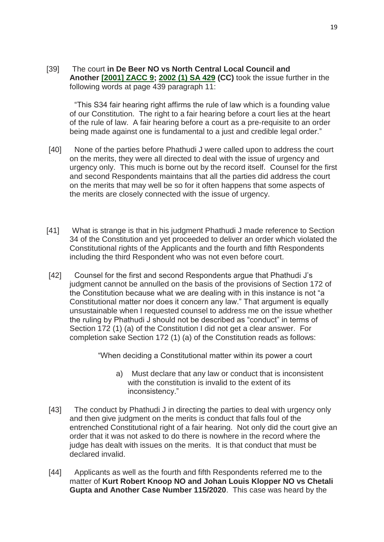[39] The court **in De Beer NO vs North Central Local Council and Another [\[2001\] ZACC 9;](http://www.saflii.org/za/cases/ZACC/2001/9.html) [2002 \(1\) SA 429](http://www.saflii.org/cgi-bin/LawCite?cit=2002%20%281%29%20SA%20429) (CC)** took the issue further in the following words at page 439 paragraph 11:

 ―This S34 fair hearing right affirms the rule of law which is a founding value of our Constitution. The right to a fair hearing before a court lies at the heart of the rule of law. A fair hearing before a court as a pre-requisite to an order being made against one is fundamental to a just and credible legal order."

- [40] None of the parties before Phathudi J were called upon to address the court on the merits, they were all directed to deal with the issue of urgency and urgency only. This much is borne out by the record itself. Counsel for the first and second Respondents maintains that all the parties did address the court on the merits that may well be so for it often happens that some aspects of the merits are closely connected with the issue of urgency.
- [41] What is strange is that in his judgment Phathudi J made reference to Section 34 of the Constitution and yet proceeded to deliver an order which violated the Constitutional rights of the Applicants and the fourth and fifth Respondents including the third Respondent who was not even before court.
- [42] Counsel for the first and second Respondents argue that Phathudi J's judgment cannot be annulled on the basis of the provisions of Section 172 of the Constitution because what we are dealing with in this instance is not "a Constitutional matter nor does it concern any law.‖ That argument is equally unsustainable when I requested counsel to address me on the issue whether the ruling by Phathudi J should not be described as "conduct" in terms of Section 172 (1) (a) of the Constitution I did not get a clear answer. For completion sake Section 172 (1) (a) of the Constitution reads as follows:

"When deciding a Constitutional matter within its power a court

- a) Must declare that any law or conduct that is inconsistent with the constitution is invalid to the extent of its inconsistency."
- [43] The conduct by Phathudi J in directing the parties to deal with urgency only and then give judgment on the merits is conduct that falls foul of the entrenched Constitutional right of a fair hearing. Not only did the court give an order that it was not asked to do there is nowhere in the record where the judge has dealt with issues on the merits. It is that conduct that must be declared invalid.
- [44] Applicants as well as the fourth and fifth Respondents referred me to the matter of **Kurt Robert Knoop NO and Johan Louis Klopper NO vs Chetali Gupta and Another Case Number 115/2020**. This case was heard by the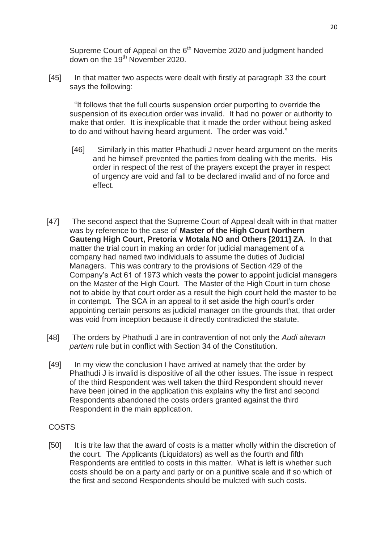Supreme Court of Appeal on the 6<sup>th</sup> Novembe 2020 and judgment handed down on the 19<sup>th</sup> November 2020.

[45] In that matter two aspects were dealt with firstly at paragraph 33 the court says the following:

"It follows that the full courts suspension order purporting to override the suspension of its execution order was invalid. It had no power or authority to make that order. It is inexplicable that it made the order without being asked to do and without having heard argument. The order was void."

- [46] Similarly in this matter Phathudi J never heard argument on the merits and he himself prevented the parties from dealing with the merits. His order in respect of the rest of the prayers except the prayer in respect of urgency are void and fall to be declared invalid and of no force and effect.
- [47] The second aspect that the Supreme Court of Appeal dealt with in that matter was by reference to the case of **Master of the High Court Northern Gauteng High Court, Pretoria v Motala NO and Others [2011] ZA**. In that matter the trial court in making an order for judicial management of a company had named two individuals to assume the duties of Judicial Managers. This was contrary to the provisions of Section 429 of the Company's Act 61 of 1973 which vests the power to appoint judicial managers on the Master of the High Court. The Master of the High Court in turn chose not to abide by that court order as a result the high court held the master to be in contempt. The SCA in an appeal to it set aside the high court's order appointing certain persons as judicial manager on the grounds that, that order was void from inception because it directly contradicted the statute.
- [48] The orders by Phathudi J are in contravention of not only the *Audi alteram partem* rule but in conflict with Section 34 of the Constitution.
- [49] In my view the conclusion I have arrived at namely that the order by Phathudi J is invalid is dispositive of all the other issues. The issue in respect of the third Respondent was well taken the third Respondent should never have been joined in the application this explains why the first and second Respondents abandoned the costs orders granted against the third Respondent in the main application.

### COSTS

[50] It is trite law that the award of costs is a matter wholly within the discretion of the court. The Applicants (Liquidators) as well as the fourth and fifth Respondents are entitled to costs in this matter. What is left is whether such costs should be on a party and party or on a punitive scale and if so which of the first and second Respondents should be mulcted with such costs.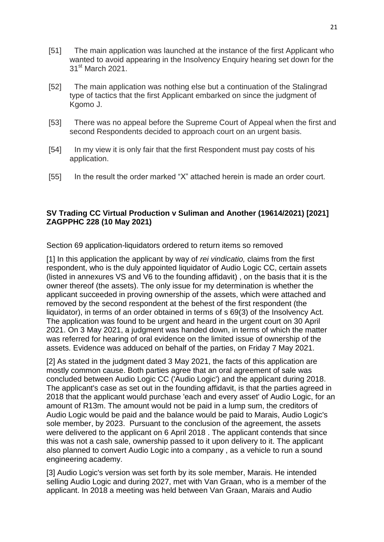- [51] The main application was launched at the instance of the first Applicant who wanted to avoid appearing in the Insolvency Enquiry hearing set down for the 31<sup>st</sup> March 2021.
- [52] The main application was nothing else but a continuation of the Stalingrad type of tactics that the first Applicant embarked on since the judgment of Kgomo J.
- [53] There was no appeal before the Supreme Court of Appeal when the first and second Respondents decided to approach court on an urgent basis.
- [54] In my view it is only fair that the first Respondent must pay costs of his application.
- [55] In the result the order marked "X" attached herein is made an order court.

### **[SV Trading CC Virtual Production v Suliman and Another \(19614/2021\) \[2021\]](http://www.saflii.org/za/cases/ZAGPPHC/2021/228.html)  [ZAGPPHC 228 \(10 May 2021\)](http://www.saflii.org/za/cases/ZAGPPHC/2021/228.html)**

Section 69 application-liquidators ordered to return items so removed

[1] In this application the applicant by way of *rei vindicatio,* claims from the first respondent, who is the duly appointed liquidator of Audio Logic CC, certain assets (listed in annexures VS and V6 to the founding affidavit) , on the basis that it is the owner thereof (the assets). The only issue for my determination is whether the applicant succeeded in proving ownership of the assets, which were attached and removed by the second respondent at the behest of the first respondent (the liquidator), in terms of an order obtained in terms of s 69(3) of the Insolvency Act. The application was found to be urgent and heard in the urgent court on 30 April 2021. On 3 May 2021, a judgment was handed down, in terms of which the matter was referred for hearing of oral evidence on the limited issue of ownership of the assets. Evidence was adduced on behalf of the parties, on Friday 7 May 2021.

[2] As stated in the judgment dated 3 May 2021, the facts of this application are mostly common cause. Both parties agree that an oral agreement of sale was concluded between Audio Logic CC ('Audio Logic') and the applicant during 2018. The applicant's case as set out in the founding affidavit, is that the parties agreed in 2018 that the applicant would purchase 'each and every asset' of Audio Logic, for an amount of R13m. The amount would not be paid in a lump sum, the creditors of Audio Logic would be paid and the balance would be paid to Marais, Audio Logic's sole member, by 2023. Pursuant to the conclusion of the agreement, the assets were delivered to the applicant on 6 April 2018 . The applicant contends that since this was not a cash sale, ownership passed to it upon delivery to it. The applicant also planned to convert Audio Logic into a company , as a vehicle to run a sound engineering academy.

[3] Audio Logic's version was set forth by its sole member, Marais. He intended selling Audio Logic and during 2027, met with Van Graan, who is a member of the applicant. In 2018 a meeting was held between Van Graan, Marais and Audio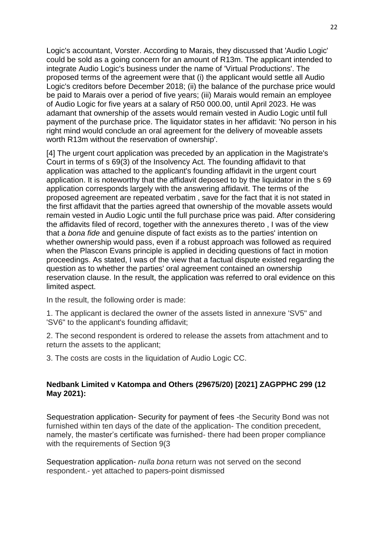Logic's accountant, Vorster. According to Marais, they discussed that 'Audio Logic' could be sold as a going concern for an amount of R13m. The applicant intended to integrate Audio Logic's business under the name of 'Virtual Productions'. The proposed terms of the agreement were that (i) the applicant would settle all Audio Logic's creditors before December 2018; (ii) the balance of the purchase price would be paid to Marais over a period of five years; (iii) Marais would remain an employee of Audio Logic for five years at a salary of R50 000.00, until April 2023. He was adamant that ownership of the assets would remain vested in Audio Logic until full payment of the purchase price. The liquidator states in her affidavit: 'No person in his right mind would conclude an oral agreement for the delivery of moveable assets worth R13m without the reservation of ownership'.

[4] The urgent court application was preceded by an application in the Magistrate's Court in terms of s 69(3) of the Insolvency Act. The founding affidavit to that application was attached to the applicant's founding affidavit in the urgent court application. It is noteworthy that the affidavit deposed to by the liquidator in the s 69 application corresponds largely with the answering affidavit. The terms of the proposed agreement are repeated verbatim , save for the fact that it is not stated in the first affidavit that the parties agreed that ownership of the movable assets would remain vested in Audio Logic until the full purchase price was paid. After considering the affidavits filed of record, together with the annexures thereto , I was of the view that a *bona fide* and genuine dispute of fact exists as to the parties' intention on whether ownership would pass, even if a robust approach was followed as required when the Plascon Evans principle is applied in deciding questions of fact in motion proceedings. As stated, I was of the view that a factual dispute existed regarding the question as to whether the parties' oral agreement contained an ownership reservation clause. In the result, the application was referred to oral evidence on this limited aspect.

In the result, the following order is made:

1. The applicant is declared the owner of the assets listed in annexure 'SV5" and 'SV6" to the applicant's founding affidavit;

2. The second respondent is ordered to release the assets from attachment and to return the assets to the applicant;

3. The costs are costs in the liquidation of Audio Logic CC.

### **[Nedbank Limited v Katompa and Others \(29675/20\) \[2021\] ZAGPPHC 299 \(12](http://www.saflii.org/za/cases/ZAGPPHC/2021/299.html)  [May 2021\):](http://www.saflii.org/za/cases/ZAGPPHC/2021/299.html)**

Sequestration application- Security for payment of fees -the Security Bond was not furnished within ten days of the date of the application- The condition precedent, namely, the master's certificate was furnished- there had been proper compliance with the requirements of Section 9(3

Sequestration application- *nulla bona* return was not served on the second respondent.- yet attached to papers-point dismissed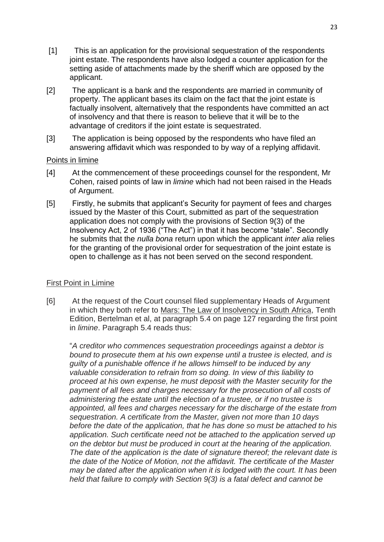- [1] This is an application for the provisional sequestration of the respondents joint estate. The respondents have also lodged a counter application for the setting aside of attachments made by the sheriff which are opposed by the applicant.
- [2] The applicant is a bank and the respondents are married in community of property. The applicant bases its claim on the fact that the joint estate is factually insolvent, alternatively that the respondents have committed an act of insolvency and that there is reason to believe that it will be to the advantage of creditors if the joint estate is sequestrated.
- [3] The application is being opposed by the respondents who have filed an answering affidavit which was responded to by way of a replying affidavit.

#### Points in limine

- [4] At the commencement of these proceedings counsel for the respondent, Mr Cohen, raised points of law in *limine* which had not been raised in the Heads of Argument.
- [5] Firstly, he submits that applicant's Security for payment of fees and charges issued by the Master of this Court, submitted as part of the sequestration application does not comply with the provisions of Section 9(3) of the Insolvency Act, 2 of 1936 ("The Act") in that it has become "stale". Secondly he submits that the *nulla bona* return upon which the applicant *inter alia* relies for the granting of the provisional order for sequestration of the joint estate is open to challenge as it has not been served on the second respondent.

### First Point in Limine

[6] At the request of the Court counsel filed supplementary Heads of Argument in which they both refer to Mars: The Law of Insolvency in South Africa, Tenth Edition, Bertelman et al, at paragraph 5.4 on page 127 regarding the first point in *limine*. Paragraph 5.4 reads thus:

―*A creditor who commences sequestration proceedings against a debtor is bound to prosecute them at his own expense until a trustee is elected, and is guilty of a punishable offence if he allows himself to be induced by any valuable consideration to refrain from so doing. In view of this liability to proceed at his own expense, he must deposit with the Master security for the payment of all fees and charges necessary for the prosecution of all costs of administering the estate until the election of a trustee, or if no trustee is appointed, all fees and charges necessary for the discharge of the estate from sequestration. A certificate from the Master, given not more than 10 days before the date of the application, that he has done so must be attached to his application. Such certificate need not be attached to the application served up on the debtor but must be produced in court at the hearing of the application. The date of the application is the date of signature thereof; the relevant date is the date of the Notice of Motion, not the affidavit. The certificate of the Master may be dated after the application when it is lodged with the court. It has been held that failure to comply with Section 9(3) is a fatal defect and cannot be*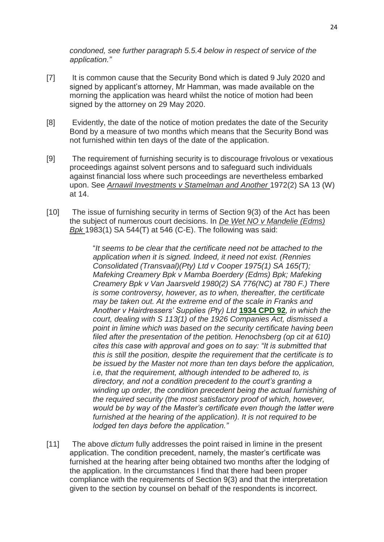*condoned, see further paragraph 5.5.4 below in respect of service of the application."*

- [7] It is common cause that the Security Bond which is dated 9 July 2020 and signed by applicant's attorney, Mr Hamman, was made available on the morning the application was heard whilst the notice of motion had been signed by the attorney on 29 May 2020.
- [8] Evidently, the date of the notice of motion predates the date of the Security Bond by a measure of two months which means that the Security Bond was not furnished within ten days of the date of the application.
- [9] The requirement of furnishing security is to discourage frivolous or vexatious proceedings against solvent persons and to safeguard such individuals against financial loss where such proceedings are nevertheless embarked upon. See *Arnawil Investments v Stamelman and Another* 1972(2) SA 13 (W) at 14.
- [10] The issue of furnishing security in terms of Section 9(3) of the Act has been the subject of numerous court decisions. In *De Wet NO v Mandelie (Edms) Bpk* 1983(1) SA 544(T) at 546 (C-E). The following was said:

―*It seems to be clear that the certificate need not be attached to the application when it is signed. Indeed, it need not exist. (Rennies Consolidated (Transvaal)(Pty) Ltd v Cooper 1975(1) SA 165(T); Mafeking Creamery Bpk v Mamba Boerdery (Edms) Bpk; Mafeking Creamery Bpk v Van Jaarsveld 1980(2) SA 776(NC) at 780 F.) There is some controversy, however, as to when, thereafter, the certificate may be taken out. At the extreme end of the scale in Franks and Another v Hairdressers' Supplies (Pty) Ltd* **[1934 CPD 92](http://www.saflii.org/cgi-bin/LawCite?cit=1934%20CPD%2092)***, in which the court, dealing with S 113(1) of the 1926 Companies Act, dismissed a point in limine which was based on the security certificate having been filed after the presentation of the petition. Henochsberg (op cit at 610) cites this case with approval and goes on to say: "It is submitted that this is still the position, despite the requirement that the certificate is to be issued by the Master not more than ten days before the application, i.e, that the requirement, although intended to be adhered to, is directory, and not a condition precedent to the court's granting a winding up order, the condition precedent being the actual furnishing of the required security (the most satisfactory proof of which, however, would be by way of the Master's certificate even though the latter were furnished at the hearing of the application). It is not required to be lodged ten days before the application."*

[11] The above *dictum* fully addresses the point raised in limine in the present application. The condition precedent, namely, the master's certificate was furnished at the hearing after being obtained two months after the lodging of the application. In the circumstances I find that there had been proper compliance with the requirements of Section 9(3) and that the interpretation given to the section by counsel on behalf of the respondents is incorrect.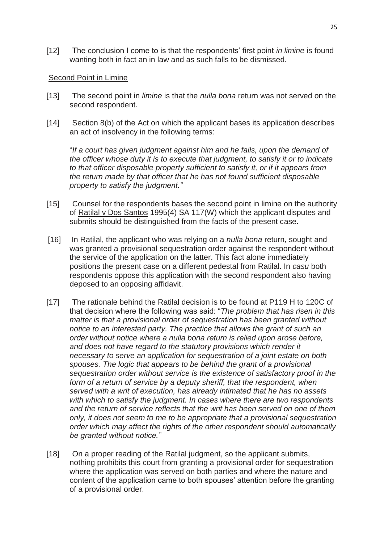[12] The conclusion I come to is that the respondents' first point *in limine* is found wanting both in fact an in law and as such falls to be dismissed.

#### Second Point in Limine

- [13] The second point in *limine* is that the *nulla bona* return was not served on the second respondent.
- [14] Section 8(b) of the Act on which the applicant bases its application describes an act of insolvency in the following terms:

―*If a court has given judgment against him and he fails, upon the demand of the officer whose duty it is to execute that judgment, to satisfy it or to indicate to that officer disposable property sufficient to satisfy it, or if it appears from the return made by that officer that he has not found sufficient disposable property to satisfy the judgment."*

- [15] Counsel for the respondents bases the second point in limine on the authority of Ratilal v Dos Santos 1995(4) SA 117(W) which the applicant disputes and submits should be distinguished from the facts of the present case.
- [16] In Ratilal, the applicant who was relying on a *nulla bona* return, sought and was granted a provisional sequestration order against the respondent without the service of the application on the latter. This fact alone immediately positions the present case on a different pedestal from Ratilal. In *casu* both respondents oppose this application with the second respondent also having deposed to an opposing affidavit.
- [17] The rationale behind the Ratilal decision is to be found at P119 H to 120C of that decision where the following was said: ―*The problem that has risen in this matter is that a provisional order of sequestration has been granted without notice to an interested party. The practice that allows the grant of such an order without notice where a nulla bona return is relied upon arose before, and does not have regard to the statutory provisions which render it necessary to serve an application for sequestration of a joint estate on both spouses. The logic that appears to be behind the grant of a provisional sequestration order without service is the existence of satisfactory proof in the*  form of a return of service by a deputy sheriff, that the respondent, when *served with a writ of execution, has already intimated that he has no assets with which to satisfy the judgment. In cases where there are two respondents and the return of service reflects that the writ has been served on one of them only, it does not seem to me to be appropriate that a provisional sequestration order which may affect the rights of the other respondent should automatically be granted without notice."*
- [18] On a proper reading of the Ratilal judgment, so the applicant submits, nothing prohibits this court from granting a provisional order for sequestration where the application was served on both parties and where the nature and content of the application came to both spouses' attention before the granting of a provisional order.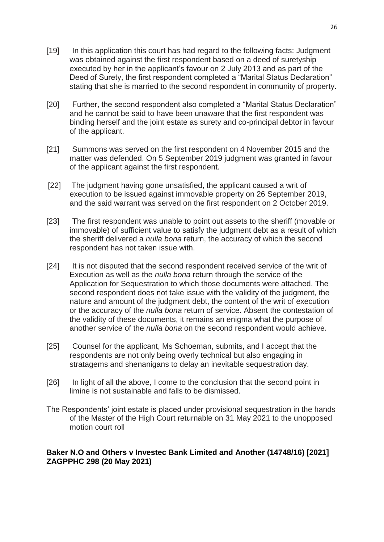- [19] In this application this court has had regard to the following facts: Judgment was obtained against the first respondent based on a deed of suretyship executed by her in the applicant's favour on 2 July 2013 and as part of the Deed of Surety, the first respondent completed a "Marital Status Declaration" stating that she is married to the second respondent in community of property.
- [20] Further, the second respondent also completed a "Marital Status Declaration" and he cannot be said to have been unaware that the first respondent was binding herself and the joint estate as surety and co-principal debtor in favour of the applicant.
- [21] Summons was served on the first respondent on 4 November 2015 and the matter was defended. On 5 September 2019 judgment was granted in favour of the applicant against the first respondent.
- [22] The judgment having gone unsatisfied, the applicant caused a writ of execution to be issued against immovable property on 26 September 2019, and the said warrant was served on the first respondent on 2 October 2019.
- [23] The first respondent was unable to point out assets to the sheriff (movable or immovable) of sufficient value to satisfy the judgment debt as a result of which the sheriff delivered a *nulla bona* return, the accuracy of which the second respondent has not taken issue with.
- [24] It is not disputed that the second respondent received service of the writ of Execution as well as the *nulla bona* return through the service of the Application for Sequestration to which those documents were attached. The second respondent does not take issue with the validity of the judgment, the nature and amount of the judgment debt, the content of the writ of execution or the accuracy of the *nulla bona* return of service. Absent the contestation of the validity of these documents, it remains an enigma what the purpose of another service of the *nulla bona* on the second respondent would achieve.
- [25] Counsel for the applicant, Ms Schoeman, submits, and I accept that the respondents are not only being overly technical but also engaging in stratagems and shenanigans to delay an inevitable sequestration day.
- [26] In light of all the above, I come to the conclusion that the second point in limine is not sustainable and falls to be dismissed.
- The Respondents' joint estate is placed under provisional sequestration in the hands of the Master of the High Court returnable on 31 May 2021 to the unopposed motion court roll

### **[Baker N.O and Others v Investec Bank Limited and Another \(14748/16\) \[2021\]](http://www.saflii.org/za/cases/ZAGPPHC/2021/298.html)  [ZAGPPHC 298 \(20 May 2021\)](http://www.saflii.org/za/cases/ZAGPPHC/2021/298.html)**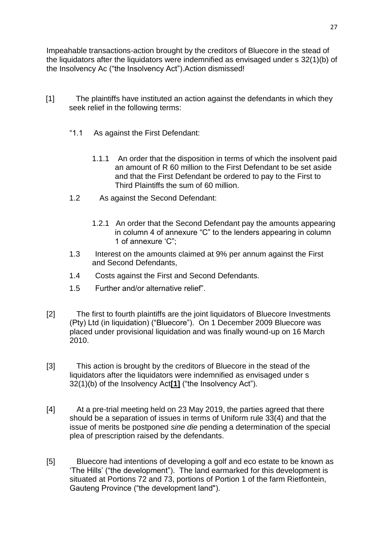Impeahable transactions-action brought by the creditors of Bluecore in the stead of the liquidators after the liquidators were indemnified as envisaged under s 32(1)(b) of the Insolvency Ac ("the Insolvency Act"). Action dismissed!

- [1] The plaintiffs have instituted an action against the defendants in which they seek relief in the following terms:
	- ―1.1 As against the First Defendant:
		- 1.1.1 An order that the disposition in terms of which the insolvent paid an amount of R 60 million to the First Defendant to be set aside and that the First Defendant be ordered to pay to the First to Third Plaintiffs the sum of 60 million.
	- 1.2 As against the Second Defendant:
		- 1.2.1 An order that the Second Defendant pay the amounts appearing in column 4 of annexure "C" to the lenders appearing in column 1 of annexure  $°C$ :
	- 1.3 Interest on the amounts claimed at 9% per annum against the First and Second Defendants,
	- 1.4 Costs against the First and Second Defendants.
	- 1.5 Further and/or alternative relief".
- [2] The first to fourth plaintiffs are the joint liquidators of Bluecore Investments (Pty) Ltd (in liquidation) ("Bluecore"). On 1 December 2009 Bluecore was placed under provisional liquidation and was finally wound-up on 16 March 2010.
- [3] This action is brought by the creditors of Bluecore in the stead of the liquidators after the liquidators were indemnified as envisaged under s 32(1)(b) of the Insolvency Act<sup>[\[1\]](http://www.saflii.org/za/cases/ZAGPPHC/2021/298.html#_ftn1)</sup> ("the Insolvency Act").
- [4] At a pre-trial meeting held on 23 May 2019, the parties agreed that there should be a separation of issues in terms of Uniform rule 33(4) and that the issue of merits be postponed *sine die* pending a determination of the special plea of prescription raised by the defendants.
- [5] Bluecore had intentions of developing a golf and eco estate to be known as 'The Hills' ("the development"). The land earmarked for this development is situated at Portions 72 and 73, portions of Portion 1 of the farm Rietfontein, Gauteng Province ("the development land").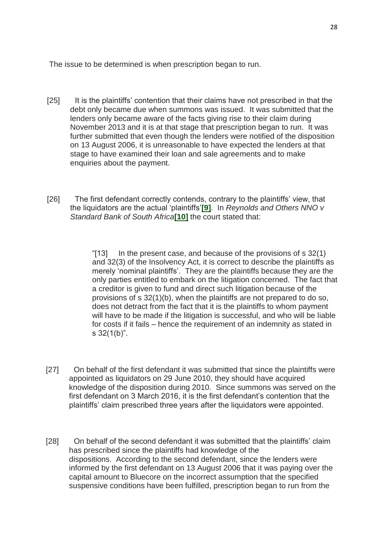The issue to be determined is when prescription began to run.

- [25] It is the plaintiffs' contention that their claims have not prescribed in that the debt only became due when summons was issued. It was submitted that the lenders only became aware of the facts giving rise to their claim during November 2013 and it is at that stage that prescription began to run. It was further submitted that even though the lenders were notified of the disposition on 13 August 2006, it is unreasonable to have expected the lenders at that stage to have examined their loan and sale agreements and to make enquiries about the payment.
- [26] The first defendant correctly contends, contrary to the plaintiffs' view, that the liquidators are the actual 'plaintiffs'<sup>[\[9\]](http://www.saflii.org/za/cases/ZAGPPHC/2021/298.html#_ftn9)</sup>. In *Reynolds and Others NNO v Standard Bank of South Africa***[\[10\]](http://www.saflii.org/za/cases/ZAGPPHC/2021/298.html#_ftn10)** the court stated that:

" $[13]$  In the present case, and because of the provisions of s 32(1) and 32(3) of the Insolvency Act, it is correct to describe the plaintiffs as merely 'nominal plaintiffs'. They are the plaintiffs because they are the only parties entitled to embark on the litigation concerned. The fact that a creditor is given to fund and direct such litigation because of the provisions of s 32(1)(b), when the plaintiffs are not prepared to do so, does not detract from the fact that it is the plaintiffs to whom payment will have to be made if the litigation is successful, and who will be liable for costs if it fails – hence the requirement of an indemnity as stated in s  $32(1(b)$ ".

- [27] On behalf of the first defendant it was submitted that since the plaintiffs were appointed as liquidators on 29 June 2010, they should have acquired knowledge of the disposition during 2010. Since summons was served on the first defendant on 3 March 2016, it is the first defendant's contention that the plaintiffs' claim prescribed three years after the liquidators were appointed.
- [28] On behalf of the second defendant it was submitted that the plaintiffs' claim has prescribed since the plaintiffs had knowledge of the dispositions. According to the second defendant, since the lenders were informed by the first defendant on 13 August 2006 that it was paying over the capital amount to Bluecore on the incorrect assumption that the specified suspensive conditions have been fulfilled, prescription began to run from the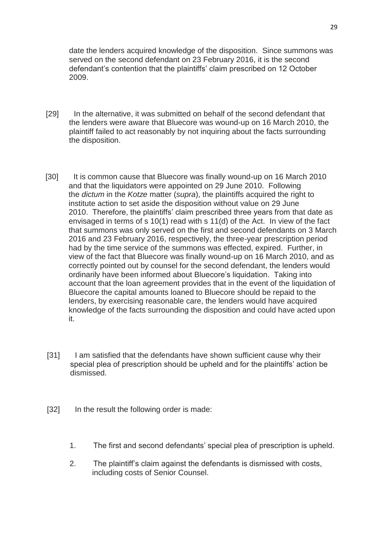date the lenders acquired knowledge of the disposition. Since summons was served on the second defendant on 23 February 2016, it is the second defendant's contention that the plaintiffs' claim prescribed on 12 October 2009.

- [29] In the alternative, it was submitted on behalf of the second defendant that the lenders were aware that Bluecore was wound-up on 16 March 2010, the plaintiff failed to act reasonably by not inquiring about the facts surrounding the disposition.
- [30] It is common cause that Bluecore was finally wound-up on 16 March 2010 and that the liquidators were appointed on 29 June 2010. Following the *dictum* in the *Kotze* matter (*supra*), the plaintiffs acquired the right to institute action to set aside the disposition without value on 29 June 2010. Therefore, the plaintiffs' claim prescribed three years from that date as envisaged in terms of s 10(1) read with s 11(d) of the Act. In view of the fact that summons was only served on the first and second defendants on 3 March 2016 and 23 February 2016, respectively, the three-year prescription period had by the time service of the summons was effected, expired. Further, in view of the fact that Bluecore was finally wound-up on 16 March 2010, and as correctly pointed out by counsel for the second defendant, the lenders would ordinarily have been informed about Bluecore's liquidation. Taking into account that the loan agreement provides that in the event of the liquidation of Bluecore the capital amounts loaned to Bluecore should be repaid to the lenders, by exercising reasonable care, the lenders would have acquired knowledge of the facts surrounding the disposition and could have acted upon it.
- [31] I am satisfied that the defendants have shown sufficient cause why their special plea of prescription should be upheld and for the plaintiffs' action be dismissed.
- [32] In the result the following order is made:
	- 1. The first and second defendants' special plea of prescription is upheld.
	- 2. The plaintiff's claim against the defendants is dismissed with costs, including costs of Senior Counsel.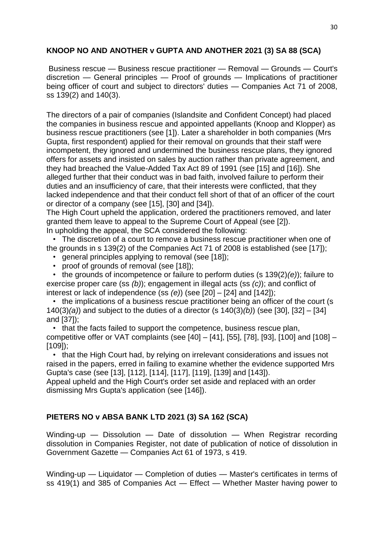## **KNOOP NO AND ANOTHER v GUPTA AND ANOTHER 2021 (3) SA 88 (SCA)**

Business rescue — Business rescue practitioner — Removal — Grounds — Court's discretion — General principles — Proof of grounds — Implications of practitioner being officer of court and subject to directors' duties — Companies Act 71 of 2008, ss 139(2) and 140(3).

The directors of a pair of companies (Islandsite and Confident Concept) had placed the companies in business rescue and appointed appellants (Knoop and Klopper) as business rescue practitioners (see [1]). Later a shareholder in both companies (Mrs Gupta, first respondent) applied for their removal on grounds that their staff were incompetent, they ignored and undermined the business rescue plans, they ignored offers for assets and insisted on sales by auction rather than private agreement, and they had breached the Value-Added Tax Act 89 of 1991 (see [15] and [16]). She alleged further that their conduct was in bad faith, involved failure to perform their duties and an insufficiency of care, that their interests were conflicted, that they lacked independence and that their conduct fell short of that of an officer of the court or director of a company (see [15], [30] and [34]).

The High Court upheld the application, ordered the practitioners removed, and later granted them leave to appeal to the Supreme Court of Appeal (see [2]). In upholding the appeal, the SCA considered the following:

 • The discretion of a court to remove a business rescue practitioner when one of the grounds in s 139(2) of the Companies Act 71 of 2008 is established (see [17]);

• general principles applying to removal (see [18]);

• proof of grounds of removal (see [18]);

 • the grounds of incompetence or failure to perform duties (s 139(2)*(e)*); failure to exercise proper care (ss *(b)*); engagement in illegal acts (ss *(c)*); and conflict of interest or lack of independence (ss *(e)*) (see [20] – [24] and [142]);

 • the implications of a business rescue practitioner being an officer of the court (s 140(3)*(a)*) and subject to the duties of a director (s 140(3)*(b)*) (see [30], [32] – [34] and [37]);

• that the facts failed to support the competence, business rescue plan,

competitive offer or VAT complaints (see [40] – [41], [55], [78], [93], [100] and [108] – [109]);

 • that the High Court had, by relying on irrelevant considerations and issues not raised in the papers, erred in failing to examine whether the evidence supported Mrs Gupta's case (see [13], [112], [114], [117], [119], [139] and [143]).

Appeal upheld and the High Court's order set aside and replaced with an order dismissing Mrs Gupta's application (see [146]).

# **PIETERS NO v ABSA BANK LTD 2021 (3) SA 162 (SCA)**

Winding-up — Dissolution — Date of dissolution — When Registrar recording dissolution in Companies Register, not date of publication of notice of dissolution in Government Gazette — Companies Act 61 of 1973, s 419.

Winding-up — Liquidator — Completion of duties — Master's certificates in terms of ss 419(1) and 385 of Companies Act — Effect — Whether Master having power to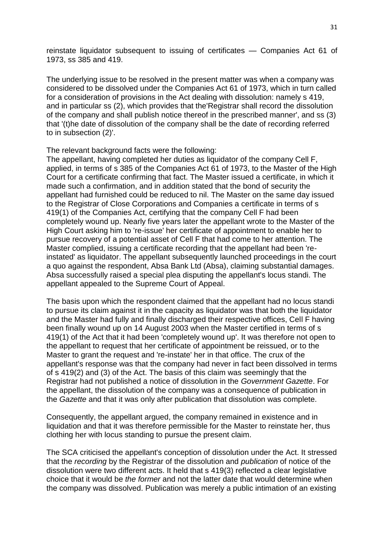reinstate liquidator subsequent to issuing of certificates — Companies Act 61 of 1973, ss 385 and 419.

The underlying issue to be resolved in the present matter was when a company was considered to be dissolved under the Companies Act 61 of 1973, which in turn called for a consideration of provisions in the Act dealing with dissolution: namely s 419, and in particular ss (2), which provides that the'Registrar shall record the dissolution of the company and shall publish notice thereof in the prescribed manner', and ss (3) that '(t)he date of dissolution of the company shall be the date of recording referred to in subsection (2)'.

The relevant background facts were the following:

The appellant, having completed her duties as liquidator of the company Cell F, applied, in terms of s 385 of the Companies Act 61 of 1973, to the Master of the High Court for a certificate confirming that fact. The Master issued a certificate, in which it made such a confirmation, and in addition stated that the bond of security the appellant had furnished could be reduced to nil. The Master on the same day issued to the Registrar of Close Corporations and Companies a certificate in terms of s 419(1) of the Companies Act, certifying that the company Cell F had been completely wound up. Nearly five years later the appellant wrote to the Master of the High Court asking him to 're-issue' her certificate of appointment to enable her to pursue recovery of a potential asset of Cell F that had come to her attention. The Master complied, issuing a certificate recording that the appellant had been 'reinstated' as liquidator. The appellant subsequently launched proceedings in the court a quo against the respondent, Absa Bank Ltd (Absa), claiming substantial damages. Absa successfully raised a special plea disputing the appellant's locus standi. The appellant appealed to the Supreme Court of Appeal.

The basis upon which the respondent claimed that the appellant had no locus standi to pursue its claim against it in the capacity as liquidator was that both the liquidator and the Master had fully and finally discharged their respective offices, Cell F having been finally wound up on 14 August 2003 when the Master certified in terms of s 419(1) of the Act that it had been 'completely wound up'. It was therefore not open to the appellant to request that her certificate of appointment be reissued, or to the Master to grant the request and 're-instate' her in that office. The crux of the appellant's response was that the company had never in fact been dissolved in terms of s 419(2) and (3) of the Act. The basis of this claim was seemingly that the Registrar had not published a notice of dissolution in the *Government Gazette*. For the appellant, the dissolution of the company was a consequence of publication in the *Gazette* and that it was only after publication that dissolution was complete.

Consequently, the appellant argued, the company remained in existence and in liquidation and that it was therefore permissible for the Master to reinstate her, thus clothing her with locus standing to pursue the present claim.

The SCA criticised the appellant's conception of dissolution under the Act. It stressed that the *recording* by the Registrar of the dissolution and *publication* of notice of the dissolution were two different acts. It held that s 419(3) reflected a clear legislative choice that it would be *the former* and not the latter date that would determine when the company was dissolved. Publication was merely a public intimation of an existing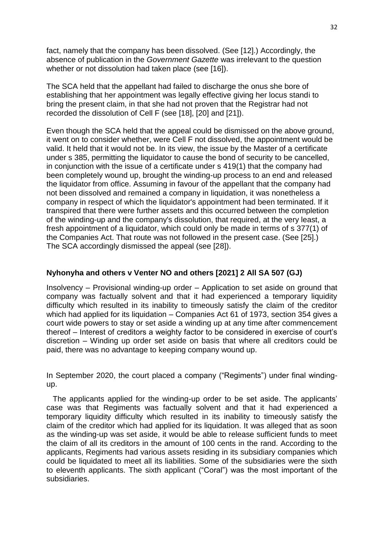fact, namely that the company has been dissolved. (See [12].) Accordingly, the absence of publication in the *Government Gazette* was irrelevant to the question whether or not dissolution had taken place (see [16]).

The SCA held that the appellant had failed to discharge the onus she bore of establishing that her appointment was legally effective giving her locus standi to bring the present claim, in that she had not proven that the Registrar had not recorded the dissolution of Cell F (see [18], [20] and [21]).

Even though the SCA held that the appeal could be dismissed on the above ground, it went on to consider whether, were Cell F not dissolved, the appointment would be valid. It held that it would not be. In its view, the issue by the Master of a certificate under s 385, permitting the liquidator to cause the bond of security to be cancelled, in conjunction with the issue of a certificate under s 419(1) that the company had been completely wound up, brought the winding-up process to an end and released the liquidator from office. Assuming in favour of the appellant that the company had not been dissolved and remained a company in liquidation, it was nonetheless a company in respect of which the liquidator's appointment had been terminated. If it transpired that there were further assets and this occurred between the completion of the winding-up and the company's dissolution, that required, at the very least, a fresh appointment of a liquidator, which could only be made in terms of s 377(1) of the Companies Act. That route was not followed in the present case. (See [25].) The SCA accordingly dismissed the appeal (see [28]).

## **Nyhonyha and others v Venter NO and others [2021] 2 All SA 507 (GJ)**

Insolvency – Provisional winding-up order – Application to set aside on ground that company was factually solvent and that it had experienced a temporary liquidity difficulty which resulted in its inability to timeously satisfy the claim of the creditor which had applied for its liquidation – Companies Act 61 of 1973, section 354 gives a court wide powers to stay or set aside a winding up at any time after commencement thereof – Interest of creditors a weighty factor to be considered in exercise of court's discretion – Winding up order set aside on basis that where all creditors could be paid, there was no advantage to keeping company wound up.

In September 2020, the court placed a company ("Regiments") under final windingup.

The applicants applied for the winding-up order to be set aside. The applicants' case was that Regiments was factually solvent and that it had experienced a temporary liquidity difficulty which resulted in its inability to timeously satisfy the claim of the creditor which had applied for its liquidation. It was alleged that as soon as the winding-up was set aside, it would be able to release sufficient funds to meet the claim of all its creditors in the amount of 100 cents in the rand. According to the applicants, Regiments had various assets residing in its subsidiary companies which could be liquidated to meet all its liabilities. Some of the subsidiaries were the sixth to eleventh applicants. The sixth applicant ("Coral") was the most important of the subsidiaries.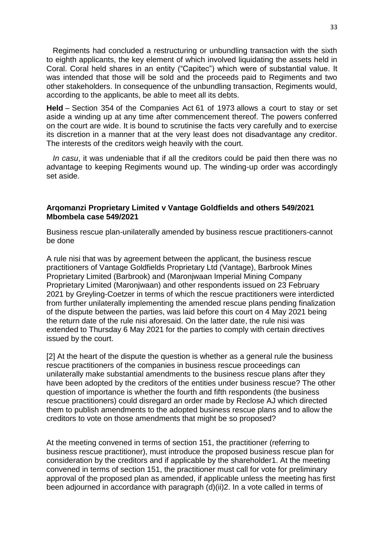Regiments had concluded a restructuring or unbundling transaction with the sixth to eighth applicants, the key element of which involved liquidating the assets held in Coral. Coral held shares in an entity ("Capitec") which were of substantial value. It was intended that those will be sold and the proceeds paid to Regiments and two other stakeholders. In consequence of the unbundling transaction, Regiments would, according to the applicants, be able to meet all its debts.

**Held** – Section 354 of the Companies Act 61 of 1973 allows a court to stay or set aside a winding up at any time after commencement thereof. The powers conferred on the court are wide. It is bound to scrutinise the facts very carefully and to exercise its discretion in a manner that at the very least does not disadvantage any creditor. The interests of the creditors weigh heavily with the court.

*In casu*, it was undeniable that if all the creditors could be paid then there was no advantage to keeping Regiments wound up. The winding-up order was accordingly set aside.

#### **Arqomanzi Proprietary Limited v Vantage Goldfields and others 549/2021 Mbombela case 549/2021**

Business rescue plan-unilaterally amended by business rescue practitioners-cannot be done

A rule nisi that was by agreement between the applicant, the business rescue practitioners of Vantage Goldfields Proprietary Ltd (Vantage), Barbrook Mines Proprietary Limited (Barbrook) and (Maronjwaan Imperial Mining Company Proprietary Limited (Maronjwaan) and other respondents issued on 23 February 2021 by Greyling-Coetzer in terms of which the rescue practitioners were interdicted from further unilaterally implementing the amended rescue plans pending finalization of the dispute between the parties, was laid before this court on 4 May 2021 being the return date of the rule nisi aforesaid. On the latter date, the rule nisi was extended to Thursday 6 May 2021 for the parties to comply with certain directives issued by the court.

[2] At the heart of the dispute the question is whether as a general rule the business rescue practitioners of the companies in business rescue proceedings can unilaterally make substantial amendments to the business rescue plans after they have been adopted by the creditors of the entities under business rescue? The other question of importance is whether the fourth and fifth respondents (the business rescue practitioners) could disregard an order made by Reclose AJ which directed them to publish amendments to the adopted business rescue plans and to allow the creditors to vote on those amendments that might be so proposed?

At the meeting convened in terms of section 151, the practitioner (referring to business rescue practitioner), must introduce the proposed business rescue plan for consideration by the creditors and if applicable by the shareholder1. At the meeting convened in terms of section 151, the practitioner must call for vote for preliminary approval of the proposed plan as amended, if applicable unless the meeting has first been adjourned in accordance with paragraph (d)(ii)2. In a vote called in terms of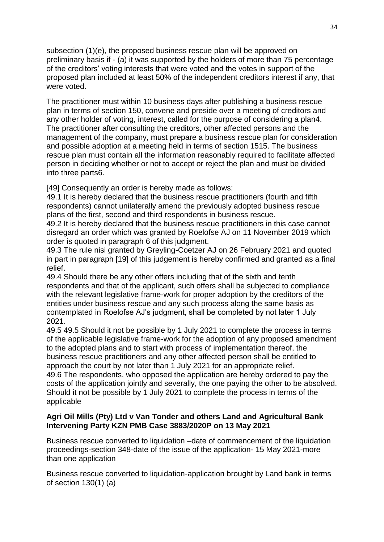subsection (1)(e), the proposed business rescue plan will be approved on preliminary basis if - (a) it was supported by the holders of more than 75 percentage of the creditors' voting interests that were voted and the votes in support of the proposed plan included at least 50% of the independent creditors interest if any, that were voted.

The practitioner must within 10 business days after publishing a business rescue plan in terms of section 150, convene and preside over a meeting of creditors and any other holder of voting, interest, called for the purpose of considering a plan4. The practitioner after consulting the creditors, other affected persons and the management of the company, must prepare a business rescue plan for consideration and possible adoption at a meeting held in terms of section 1515. The business rescue plan must contain all the information reasonably required to facilitate affected person in deciding whether or not to accept or reject the plan and must be divided into three parts6.

[49] Consequently an order is hereby made as follows:

49.1 It is hereby declared that the business rescue practitioners (fourth and fifth respondents) cannot unilaterally amend the previously adopted business rescue plans of the first, second and third respondents in business rescue.

49.2 It is hereby declared that the business rescue practitioners in this case cannot disregard an order which was granted by Roelofse AJ on 11 November 2019 which order is quoted in paragraph 6 of this judgment.

49.3 The rule nisi granted by Greyling-Coetzer AJ on 26 February 2021 and quoted in part in paragraph [19] of this judgement is hereby confirmed and granted as a final relief.

49.4 Should there be any other offers including that of the sixth and tenth respondents and that of the applicant, such offers shall be subjected to compliance with the relevant legislative frame-work for proper adoption by the creditors of the entities under business rescue and any such process along the same basis as contemplated in Roelofse AJ's judgment, shall be completed by not later 1 July 2021.

49.5 49.5 Should it not be possible by 1 July 2021 to complete the process in terms of the applicable legislative frame-work for the adoption of any proposed amendment to the adopted plans and to start with process of implementation thereof, the business rescue practitioners and any other affected person shall be entitled to approach the court by not later than 1 July 2021 for an appropriate relief.

49.6 The respondents, who opposed the application are hereby ordered to pay the costs of the application jointly and severally, the one paying the other to be absolved. Should it not be possible by 1 July 2021 to complete the process in terms of the applicable

#### **Agri Oil Mills (Pty) Ltd v Van Tonder and others Land and Agricultural Bank Intervening Party KZN PMB Case 3883/2020P on 13 May 2021**

Business rescue converted to liquidation –date of commencement of the liquidation proceedings-section 348-date of the issue of the application- 15 May 2021-more than one application

Business rescue converted to liquidation-application brought by Land bank in terms of section 130(1) (a)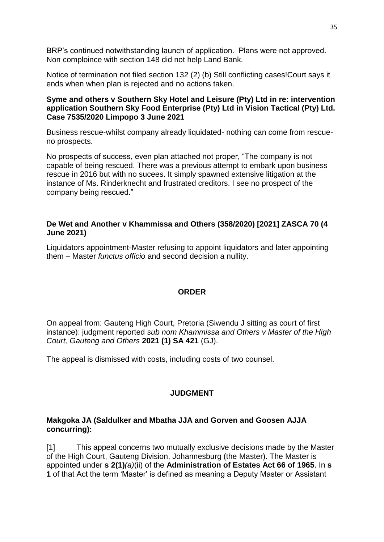BRP's continued notwithstanding launch of application. Plans were not approved. Non comploince with section 148 did not help Land Bank.

Notice of termination not filed section 132 (2) (b) Still conflicting cases!Court says it ends when when plan is rejected and no actions taken.

### **Syme and others v Southern Sky Hotel and Leisure (Pty) Ltd in re: intervention application Southern Sky Food Enterprise (Pty) Ltd in Vision Tactical (Pty) Ltd. Case 7535/2020 Limpopo 3 June 2021**

Business rescue-whilst company already liquidated- nothing can come from rescueno prospects.

No prospects of success, even plan attached not proper, "The company is not capable of being rescued. There was a previous attempt to embark upon business rescue in 2016 but with no sucees. It simply spawned extensive litigation at the instance of Ms. Rinderknecht and frustrated creditors. I see no prospect of the company being rescued."

### **De Wet and Another v Khammissa and Others (358/2020) [2021] ZASCA 70 (4 June 2021)**

Liquidators appointment-Master refusing to appoint liquidators and later appointing them – Master *functus officio* and second decision a nullity.

# **ORDER**

On appeal from: Gauteng High Court, Pretoria (Siwendu J sitting as court of first instance): judgment reported *sub nom Khammissa and Others v Master of the High Court, Gauteng and Others* **[2021 \(1\) SA 421](http://www.saflii.org/cgi-bin/LawCite?cit=2021%20%281%29%20SA%20421)** (GJ).

The appeal is dismissed with costs, including costs of two counsel.

### **JUDGMENT**

# **Makgoka JA (Saldulker and Mbatha JJA and Gorven and Goosen AJJA concurring):**

[1] This appeal concerns two mutually exclusive decisions made by the Master of the High Court, Gauteng Division, Johannesburg (the Master). The Master is appointed under **[s 2\(1\)](http://www.saflii.org/za/legis/consol_act/aoea1965274/index.html#s2)***(a)*(ii) of the **Administration [of Estates Act 66 of 1965](http://www.saflii.org/za/legis/consol_act/aoea1965274/)**. In **[s](http://www.saflii.org/za/legis/consol_act/aoea1965274/index.html#s1)  [1](http://www.saflii.org/za/legis/consol_act/aoea1965274/index.html#s1)** of that Act the term 'Master' is defined as meaning a Deputy Master or Assistant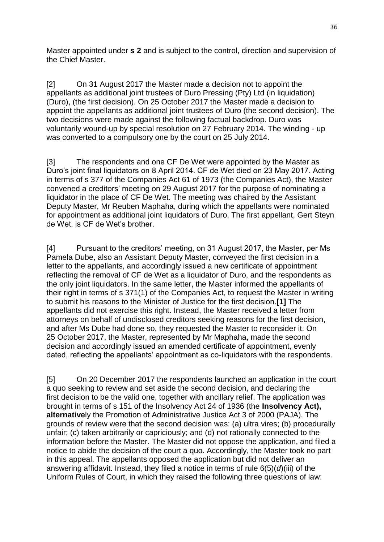Master appointed under **[s 2](http://www.saflii.org/za/legis/consol_act/aoea1965274/index.html#s2)** and is subject to the control, direction and supervision of the Chief Master.

[2] On 31 August 2017 the Master made a decision not to appoint the appellants as additional joint trustees of Duro Pressing (Pty) Ltd (in liquidation) (Duro), (the first decision). On 25 October 2017 the Master made a decision to appoint the appellants as additional joint trustees of Duro (the second decision). The two decisions were made against the following factual backdrop. Duro was voluntarily wound-up by special resolution on 27 February 2014. The winding - up was converted to a compulsory one by the court on 25 July 2014.

[3] The respondents and one CF De Wet were appointed by the Master as Duro's joint final liquidators on 8 April 2014. CF de Wet died on 23 May 2017. Acting in terms of s 377 of the Companies Act 61 of 1973 (the Companies Act), the Master convened a creditors' meeting on 29 August 2017 for the purpose of nominating a liquidator in the place of CF De Wet. The meeting was chaired by the Assistant Deputy Master, Mr Reuben Maphaha, during which the appellants were nominated for appointment as additional joint liquidators of Duro. The first appellant, Gert Steyn de Wet, is CF de Wet's brother.

[4] Pursuant to the creditors' meeting, on 31 August 2017, the Master, per Ms Pamela Dube, also an Assistant Deputy Master, conveyed the first decision in a letter to the appellants, and accordingly issued a new certificate of appointment reflecting the removal of CF de Wet as a liquidator of Duro, and the respondents as the only joint liquidators. In the same letter, the Master informed the appellants of their right in terms of s 371(1) of the Companies Act, to request the Master in writing to submit his reasons to the Minister of Justice for the first decision.**[\[1\]](http://www.saflii.org/za/cases/ZASCA/2021/70.html#_ftn1)** The appellants did not exercise this right. Instead, the Master received a letter from attorneys on behalf of undisclosed creditors seeking reasons for the first decision, and after Ms Dube had done so, they requested the Master to reconsider it. On 25 October 2017, the Master, represented by Mr Maphaha, made the second decision and accordingly issued an amended certificate of appointment, evenly dated, reflecting the appellants' appointment as co-liquidators with the respondents.

[5] On 20 December 2017 the respondents launched an application in the court a quo seeking to review and set aside the second decision, and declaring the first decision to be the valid one, together with ancillary relief. The application was brought in terms of s 151 of the Insolvency Act 24 of 1936 (the **[Insolvency Act\),](http://www.saflii.org/za/legis/consol_act/ia1936149/)  [alternative](http://www.saflii.org/za/legis/consol_act/ia1936149/)**ly the Promotion of Administrative Justice Act 3 of 2000 (PAJA). The grounds of review were that the second decision was: (a) ultra vires; (b) procedurally unfair; (c) taken arbitrarily or capriciously; and (d) not rationally connected to the information before the Master. The Master did not oppose the application, and filed a notice to abide the decision of the court a quo. Accordingly, the Master took no part in this appeal. The appellants opposed the application but did not deliver an answering affidavit. Instead, they filed a notice in terms of rule 6(5)(*d*)(iii) of the Uniform Rules of Court, in which they raised the following three questions of law: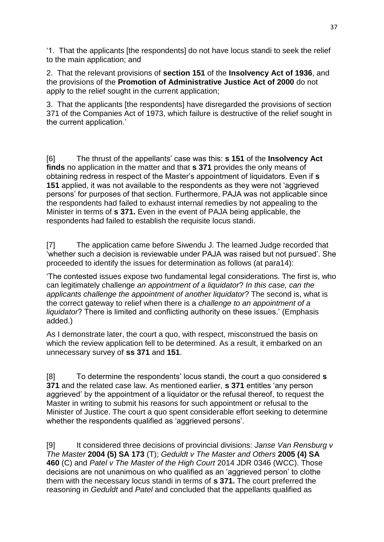‗1. That the applicants [the respondents] do not have locus standi to seek the relief to the main application; and

2. That the relevant provisions of **[section 151](http://www.saflii.org/za/legis/consol_act/ia1936149/index.html#s151)** of the **[Insolvency Act of](http://www.saflii.org/za/legis/consol_act/ia1936149/) [1936](http://www.saflii.org/za/legis/consol_act/ia1936149/)**, and the provisions of the **[Promotion of Administrative Justice](http://www.saflii.org/za/legis/consol_act/poaja2000396/) [Act of 2000](http://www.saflii.org/za/legis/consol_act/poaja2000396/)** do not apply to the relief sought in the current application;

3. That the applicants [the respondents] have disregarded the provisions of section 371 of the Companies Act of 1973, which failure is destructive of the relief sought in the current application.'

[6] The thrust of the appellants' case was this: **[s 151](http://www.saflii.org/za/legis/consol_act/ia1936149/index.html#s151)** of the **[Insolvency Act](http://www.saflii.org/za/legis/consol_act/ia1936149/)  [finds](http://www.saflii.org/za/legis/consol_act/ia1936149/)** no application in the matter and that **[s 371](http://www.saflii.org/za/legis/consol_act/ia1936149/index.html#s371)** provides the only means of obtaining redress in respect of the Master's appointment of liquidators. Even if **[s](http://www.saflii.org/za/legis/consol_act/ia1936149/index.html#s151)  [151](http://www.saflii.org/za/legis/consol_act/ia1936149/index.html#s151)** applied, it was not available to the respondents as they were not 'aggrieved persons' for purposes of that section. Furthermore, PAJA was not applicable since the respondents had failed to exhaust internal remedies by not appealing to the Minister in terms of **[s 371.](http://www.saflii.org/za/legis/consol_act/ia1936149/index.html#s371)** Even in the event of PAJA being applicable, the respondents had failed to establish the requisite locus standi.

[7] The application came before Siwendu J. The learned Judge recorded that ‗whether such a decision is reviewable under PAJA was raised but not pursued'. She proceeded to identify the issues for determination as follows (at para14):

‗The contested issues expose two fundamental legal considerations. The first is, who can legitimately challenge *an appointment of a liquidator*? *In this case, can the applicants challenge the appointment of another liquidator*? The second is, what is the correct gateway to relief when there is a *challenge to an appointment of a liquidator*? There is limited and conflicting authority on these issues.' (Emphasis added.)

As I demonstrate later, the court a quo, with respect, misconstrued the basis on which the review application fell to be determined. As a result, it embarked on an unnecessary survey of **[ss 371](http://www.saflii.org/za/legis/consol_act/ia1936149/index.html#s371)** and **[151](http://www.saflii.org/za/legis/consol_act/ia1936149/index.html#s151)**.

[8] To determine the respondents' locus standi, the court a quo considered **[s](http://www.saflii.org/za/legis/consol_act/ia1936149/index.html#s371)  [371](http://www.saflii.org/za/legis/consol_act/ia1936149/index.html#s371)** and the related case law. As mentioned earlier, **[s 371](http://www.saflii.org/za/legis/consol_act/ia1936149/index.html#s371)** entitles 'any person aggrieved' by the appointment of a liquidator or the refusal thereof, to request the Master in writing to submit his reasons for such appointment or refusal to the Minister of Justice. The court a quo spent considerable effort seeking to determine whether the respondents qualified as 'aggrieved persons'.

[9] It considered three decisions of provincial divisions: *Janse Van Rensburg v The Master* **[2004 \(5\) SA 173](http://www.saflii.org/cgi-bin/LawCite?cit=2004%20%285%29%20SA%20173)** (T); *Geduldt v The Master and Others* **[2005 \(4\) SA](http://www.saflii.org/cgi-bin/LawCite?cit=2005%20%284%29%20SA%20460)  [460](http://www.saflii.org/cgi-bin/LawCite?cit=2005%20%284%29%20SA%20460)** (C) and *Patel v The Master of the High Court* 2014 JDR 0346 (WCC). Those decisions are not unanimous on who qualified as an 'aggrieved person' to clothe them with the necessary locus standi in terms of **[s 371.](http://www.saflii.org/za/legis/consol_act/ia1936149/index.html#s371)** The court preferred the reasoning in *Geduldt* and *Patel* and concluded that the appellants qualified as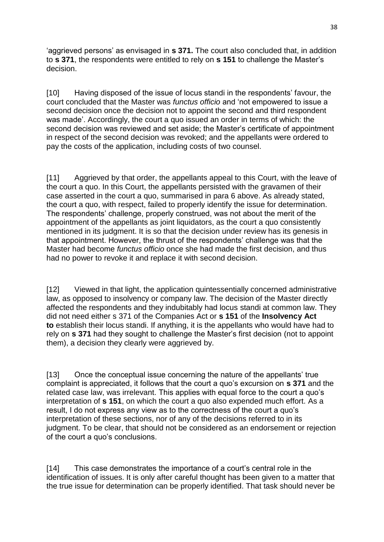‗aggrieved persons' as envisaged in **[s 371.](http://www.saflii.org/za/legis/consol_act/ia1936149/index.html#s371)** The court also concluded that, in addition to **[s 371](http://www.saflii.org/za/legis/consol_act/ia1936149/index.html#s371)**, the respondents were entitled to rely on **[s 151](http://www.saflii.org/za/legis/consol_act/ia1936149/index.html#s151)** to challenge the Master's decision.

[10] Having disposed of the issue of locus standi in the respondents' favour, the court concluded that the Master was *functus officio* and 'not empowered to issue a second decision once the decision not to appoint the second and third respondent was made'. Accordingly, the court a quo issued an order in terms of which: the second decision was reviewed and set aside; the Master's certificate of appointment in respect of the second decision was revoked; and the appellants were ordered to pay the costs of the application, including costs of two counsel.

[11] Aggrieved by that order, the appellants appeal to this Court, with the leave of the court a quo. In this Court, the appellants persisted with the gravamen of their case asserted in the court a quo, summarised in para 6 above. As already stated, the court a quo, with respect, failed to properly identify the issue for determination. The respondents' challenge, properly construed, was not about the merit of the appointment of the appellants as joint liquidators, as the court a quo consistently mentioned in its judgment. It is so that the decision under review has its genesis in that appointment. However, the thrust of the respondents' challenge was that the Master had become *functus officio* once she had made the first decision, and thus had no power to revoke it and replace it with second decision.

[12] Viewed in that light, the application quintessentially concerned administrative law, as opposed to insolvency or company law. The decision of the Master directly affected the respondents and they indubitably had locus standi at common law. They did not need either s 371 of the Companies Act or **[s 151](http://www.saflii.org/za/legis/consol_act/ia1936149/index.html#s151)** of the **[Insolvency Act](http://www.saflii.org/za/legis/consol_act/ia1936149/)  [to](http://www.saflii.org/za/legis/consol_act/ia1936149/)** establish their locus standi. If anything, it is the appellants who would have had to rely on **[s 371](http://www.saflii.org/za/legis/consol_act/ia1936149/index.html#s371)** had they sought to challenge the Master's first decision (not to appoint them), a decision they clearly were aggrieved by.

[13] Once the conceptual issue concerning the nature of the appellants' true complaint is appreciated, it follows that the court a quo's excursion on **[s 371](http://www.saflii.org/za/legis/consol_act/ia1936149/index.html#s371)** and the related case law, was irrelevant. This applies with equal force to the court a quo's interpretation of **[s 151](http://www.saflii.org/za/legis/consol_act/ia1936149/index.html#s151)**, on which the court a quo also expended much effort. As a result, I do not express any view as to the correctness of the court a quo's interpretation of these sections, nor of any of the decisions referred to in its judgment. To be clear, that should not be considered as an endorsement or rejection of the court a quo's conclusions.

[14] This case demonstrates the importance of a court's central role in the identification of issues. It is only after careful thought has been given to a matter that the true issue for determination can be properly identified. That task should never be